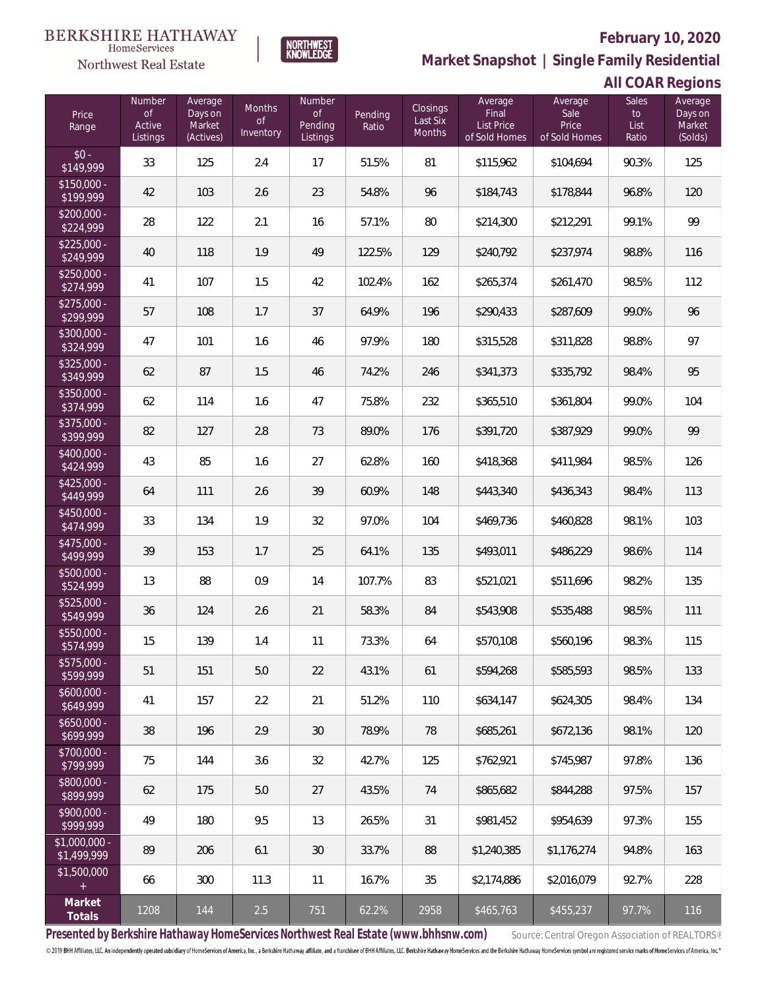

**NORTHWEST**<br>KNOWLEDGE

**Market Snapshot | Single Family Residential**

#### **All COAR Regions**

| Price<br>Range                | Number<br><b>of</b><br>Active<br>Listings | Average<br>Days on<br>Market<br>(Actives) | Months<br><b>of</b><br>Inventory | Number<br>$\mathsf{of}$<br>Pending<br>Listings | Pending<br>Ratio | Closings<br>Last Six<br>Months | Average<br>Final<br>List Price<br>of Sold Homes | Average<br>Sale<br>Price<br>of Sold Homes | <b>Sales</b><br>to<br>List<br>Ratio | Average<br>Days on<br>Market<br>(Solds) |
|-------------------------------|-------------------------------------------|-------------------------------------------|----------------------------------|------------------------------------------------|------------------|--------------------------------|-------------------------------------------------|-------------------------------------------|-------------------------------------|-----------------------------------------|
| $$0 -$<br>\$149,999           | 33                                        | 125                                       | 2.4                              | 17                                             | 51.5%            | 81                             | \$115,962                                       | \$104,694                                 | 90.3%                               | 125                                     |
| $$150,000 -$<br>\$199,999     | 42                                        | 103                                       | 2.6                              | 23                                             | 54.8%            | 96                             | \$184,743                                       | \$178,844                                 | 96.8%                               | 120                                     |
| $$200,000 -$<br>\$224,999     | 28                                        | 122                                       | 2.1                              | 16                                             | 57.1%            | 80                             | \$214,300                                       | \$212,291                                 | 99.1%                               | 99                                      |
| $$225,000 -$<br>\$249,999     | 40                                        | 118                                       | 1.9                              | 49                                             | 122.5%           | 129                            | \$240,792                                       | \$237,974                                 | 98.8%                               | 116                                     |
| $$250,000 -$<br>\$274,999     | 41                                        | 107                                       | 1.5                              | 42                                             | 102.4%           | 162                            | \$265,374                                       | \$261,470                                 | 98.5%                               | 112                                     |
| $$275,000 -$<br>\$299,999     | 57                                        | 108                                       | 1.7                              | 37                                             | 64.9%            | 196                            | \$290,433                                       | \$287,609                                 | 99.0%                               | 96                                      |
| \$300,000 -<br>\$324,999      | 47                                        | 101                                       | 1.6                              | 46                                             | 97.9%            | 180                            | \$315,528                                       | \$311,828                                 | 98.8%                               | 97                                      |
| $$325,000 -$<br>\$349,999     | 62                                        | 87                                        | 1.5                              | 46                                             | 74.2%            | 246                            | \$341,373                                       | \$335,792                                 | 98.4%                               | 95                                      |
| \$350,000 -<br>\$374,999      | 62                                        | 114                                       | 1.6                              | 47                                             | 75.8%            | 232                            | \$365,510                                       | \$361,804                                 | 99.0%                               | 104                                     |
| \$375,000 -<br>\$399,999      | 82                                        | 127                                       | 2.8                              | 73                                             | 89.0%            | 176                            | \$391,720                                       | \$387,929                                 | 99.0%                               | 99                                      |
| \$400,000 -<br>\$424,999      | 43                                        | 85                                        | 1.6                              | 27                                             | 62.8%            | 160                            | \$418,368                                       | \$411,984                                 | 98.5%                               | 126                                     |
| \$425,000 -<br>\$449,999      | 64                                        | 111                                       | 2.6                              | 39                                             | 60.9%            | 148                            | \$443,340                                       | \$436,343                                 | 98.4%                               | 113                                     |
| \$450,000 -<br>\$474,999      | 33                                        | 134                                       | 1.9                              | 32                                             | 97.0%            | 104                            | \$469,736                                       | \$460,828                                 | 98.1%                               | 103                                     |
| \$475,000 -<br>\$499,999      | 39                                        | 153                                       | 1.7                              | 25                                             | 64.1%            | 135                            | \$493,011                                       | \$486,229                                 | 98.6%                               | 114                                     |
| \$500,000 -<br>\$524,999      | 13                                        | 88                                        | 0.9                              | 14                                             | 107.7%           | 83                             | \$521,021                                       | \$511,696                                 | 98.2%                               | 135                                     |
| \$525,000 -<br>\$549,999      | 36                                        | 124                                       | 2.6                              | 21                                             | 58.3%            | 84                             | \$543,908                                       | \$535,488                                 | 98.5%                               | 111                                     |
| \$550,000 -<br>\$574,999      | 15                                        | 139                                       | 1.4                              | 11                                             | 73.3%            | 64                             | \$570,108                                       | \$560,196                                 | 98.3%                               | 115                                     |
| $$575,000 -$<br>\$599,999     | 51                                        | 151                                       | 5.0                              | 22                                             | 43.1%            | 61                             | \$594,268                                       | \$585,593                                 | 98.5%                               | 133                                     |
| $$600,000 -$<br>\$649,999     | 41                                        | 157                                       | 2.2                              | 21                                             | 51.2%            | 110                            | \$634,147                                       | \$624,305                                 | 98.4%                               | 134                                     |
| $$650,000 -$<br>\$699,999     | 38                                        | 196                                       | 2.9                              | 30                                             | 78.9%            | 78                             | \$685,261                                       | \$672,136                                 | 98.1%                               | 120                                     |
| $$700,000 -$<br>\$799,999     | 75                                        | 144                                       | 3.6                              | 32                                             | 42.7%            | 125                            | \$762,921                                       | \$745.987                                 | 97.8%                               | 136                                     |
| \$800,000 -<br>\$899,999      | 62                                        | 175                                       | 5.0                              | 27                                             | 43.5%            | 74                             | \$865.682                                       | \$844,288                                 | 97.5%                               | 157                                     |
| $$900,000 -$<br>\$999,999     | 49                                        | 180                                       | 9.5                              | 13                                             | 26.5%            | 31                             | \$981,452                                       | \$954,639                                 | 97.3%                               | 155                                     |
| $$1,000,000 -$<br>\$1,499,999 | 89                                        | 206                                       | 6.1                              | 30                                             | 33.7%            | 88                             | \$1,240,385                                     | \$1,176,274                               | 94.8%                               | 163                                     |
| \$1,500,000<br>$+$            | 66                                        | 300                                       | 11.3                             | 11                                             | 16.7%            | 35                             | \$2,174,886                                     | \$2,016,079                               | 92.7%                               | 228                                     |
| Market<br>Totals              | 1208                                      | 144                                       | 2.5                              | 751                                            | 62.2%            | 2958                           | \$465,763                                       | \$455,237                                 | 97.7%                               | 116                                     |

Presented by Berkshire Hathaway HomeServices Northwest Real Estate (www.bhhsnw.com) source: Central Oregon Association of REALTORS®

© 2019 BHH Affiliates, LLC. An independently operated subsidiary of HomeServices of America, Inc., a Berkshire Hathaway affiliate, and a franchisee of BHH Affiliates, LLC. Berkshire Hathaway HomeServices and the Berkshire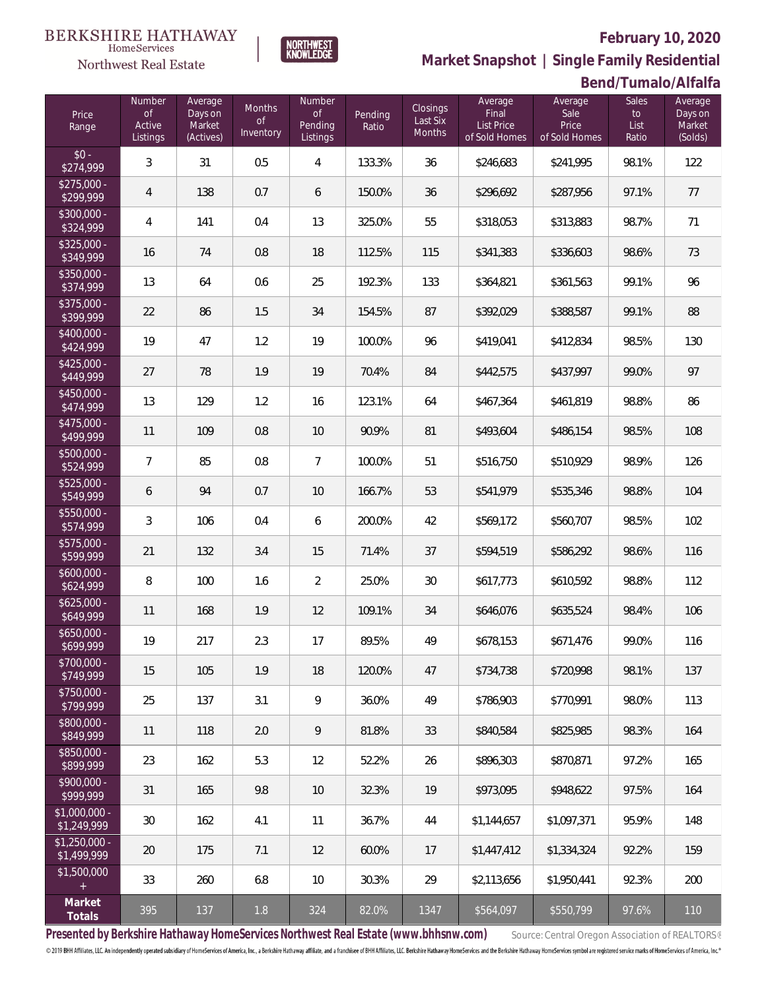

**Market Snapshot | Single Family Residential**

#### **Bend/Tumalo/Alfalfa**

| Price<br>Range                | Number<br>of<br>Active<br>Listings | Average<br>Days on<br>Market<br>(Actives) | <b>Months</b><br><b>of</b><br>Inventory | Number<br>$\circ$ f<br>Pending<br>Listings | Pending<br>Ratio | Closings<br>Last Six<br><b>Months</b> | Average<br>Final<br>List Price<br>of Sold Homes | Average<br>Sale<br>Price<br>of Sold Homes | Sales<br>to<br>List<br>Ratio | Average<br>Days on<br>Market<br>(Solds) |
|-------------------------------|------------------------------------|-------------------------------------------|-----------------------------------------|--------------------------------------------|------------------|---------------------------------------|-------------------------------------------------|-------------------------------------------|------------------------------|-----------------------------------------|
| $$0 -$<br>\$274,999           | 3                                  | 31                                        | 0.5                                     | 4                                          | 133.3%           | 36                                    | \$246,683                                       | \$241,995                                 | 98.1%                        | 122                                     |
| $$275,000 -$<br>\$299,999     | $\overline{4}$                     | 138                                       | 0.7                                     | 6                                          | 150.0%           | 36                                    | \$296,692                                       | \$287,956                                 | 97.1%                        | 77                                      |
| \$300,000 -<br>\$324,999      | $\overline{4}$                     | 141                                       | 0.4                                     | 13                                         | 325.0%           | 55                                    | \$318,053                                       | \$313,883                                 | 98.7%                        | 71                                      |
| \$325,000 -<br>\$349,999      | 16                                 | 74                                        | 0.8                                     | 18                                         | 112.5%           | 115                                   | \$341,383                                       | \$336,603                                 | 98.6%                        | 73                                      |
| \$350,000 -<br>\$374,999      | 13                                 | 64                                        | 0.6                                     | 25                                         | 192.3%           | 133                                   | \$364,821                                       | \$361,563                                 | 99.1%                        | 96                                      |
| \$375,000 -<br>\$399,999      | 22                                 | 86                                        | 1.5                                     | 34                                         | 154.5%           | 87                                    | \$392,029                                       | \$388,587                                 | 99.1%                        | 88                                      |
| \$400,000 -<br>\$424,999      | 19                                 | 47                                        | 1.2                                     | 19                                         | 100.0%           | 96                                    | \$419,041                                       | \$412,834                                 | 98.5%                        | 130                                     |
| $$425,000 -$<br>\$449,999     | 27                                 | 78                                        | 1.9                                     | 19                                         | 70.4%            | 84                                    | \$442,575                                       | \$437,997                                 | 99.0%                        | 97                                      |
| \$450,000 -<br>\$474,999      | 13                                 | 129                                       | 1.2                                     | 16                                         | 123.1%           | 64                                    | \$467,364                                       | \$461,819                                 | 98.8%                        | 86                                      |
| \$475,000 -<br>\$499,999      | 11                                 | 109                                       | 0.8                                     | 10                                         | 90.9%            | 81                                    | \$493,604                                       | \$486,154                                 | 98.5%                        | 108                                     |
| \$500,000 -<br>\$524,999      | $\overline{7}$                     | 85                                        | 0.8                                     | 7                                          | 100.0%           | 51                                    | \$516,750                                       | \$510,929                                 | 98.9%                        | 126                                     |
| \$525,000 -<br>\$549,999      | 6                                  | 94                                        | 0.7                                     | 10                                         | 166.7%           | 53                                    | \$541,979                                       | \$535,346                                 | 98.8%                        | 104                                     |
| \$550,000 -<br>\$574,999      | 3                                  | 106                                       | 0.4                                     | 6                                          | 200.0%           | 42                                    | \$569,172                                       | \$560,707                                 | 98.5%                        | 102                                     |
| \$575,000 -<br>\$599,999      | 21                                 | 132                                       | 3.4                                     | 15                                         | 71.4%            | 37                                    | \$594,519                                       | \$586,292                                 | 98.6%                        | 116                                     |
| $$600,000 -$<br>\$624,999     | 8                                  | 100                                       | 1.6                                     | $\overline{2}$                             | 25.0%            | 30                                    | \$617,773                                       | \$610,592                                 | 98.8%                        | 112                                     |
| $$625,000 -$<br>\$649,999     | 11                                 | 168                                       | 1.9                                     | 12                                         | 109.1%           | 34                                    | \$646,076                                       | \$635,524                                 | 98.4%                        | 106                                     |
| \$650,000 -<br>\$699,999      | 19                                 | 217                                       | 2.3                                     | 17                                         | 89.5%            | 49                                    | \$678,153                                       | \$671,476                                 | 99.0%                        | 116                                     |
| \$700,000 -<br>\$749,999      | 15                                 | 105                                       | 1.9                                     | 18                                         | 120.0%           | 47                                    | \$734.738                                       | \$720,998                                 | 98.1%                        | 137                                     |
| $$750,000 -$<br>\$799,999     | 25                                 | 137                                       | 3.1                                     | 9                                          | 36.0%            | 49                                    | \$786,903                                       | \$770,991                                 | 98.0%                        | 113                                     |
| \$800,000 -<br>\$849,999      | 11                                 | 118                                       | 2.0                                     | 9                                          | 81.8%            | 33                                    | \$840,584                                       | \$825,985                                 | 98.3%                        | 164                                     |
| \$850,000 -<br>\$899,999      | 23                                 | 162                                       | 5.3                                     | 12                                         | 52.2%            | 26                                    | \$896,303                                       | \$870,871                                 | 97.2%                        | 165                                     |
| $$900,000 -$<br>\$999,999     | 31                                 | 165                                       | 9.8                                     | 10                                         | 32.3%            | 19                                    | \$973,095                                       | \$948,622                                 | 97.5%                        | 164                                     |
| $$1,000,000 -$<br>\$1,249,999 | 30                                 | 162                                       | 4.1                                     | 11                                         | 36.7%            | 44                                    | \$1,144,657                                     | \$1,097,371                               | 95.9%                        | 148                                     |
| $$1,250,000 -$<br>\$1,499,999 | 20                                 | 175                                       | 7.1                                     | 12                                         | 60.0%            | 17                                    | \$1,447,412                                     | \$1,334,324                               | 92.2%                        | 159                                     |
| \$1,500,000<br>$+$            | 33                                 | 260                                       | 6.8                                     | 10                                         | 30.3%            | 29                                    | \$2,113,656                                     | \$1,950,441                               | 92.3%                        | 200                                     |
| Market<br>Totals              | 395                                | 137                                       | 1.8                                     | 324                                        | 82.0%            | 1347                                  | \$564,097                                       | \$550,799                                 | 97.6%                        | 110                                     |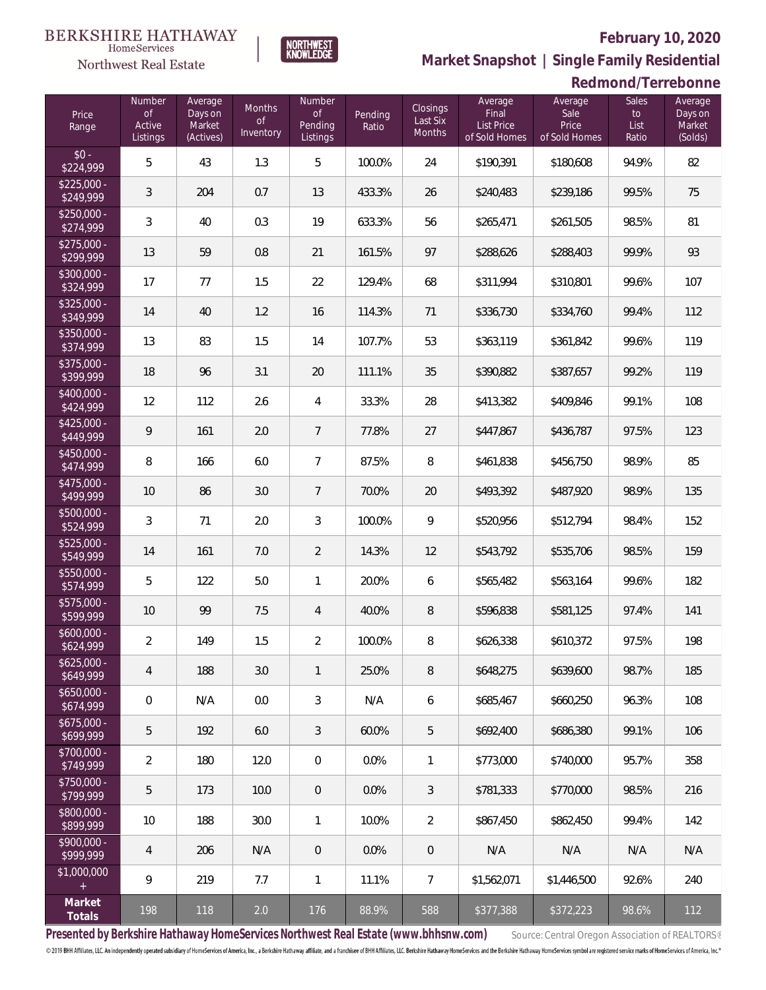

 $\label{lem:sevices} \textsc{Home} \textsc{Service} \textsc{s}$ 

**Market Snapshot | Single Family Residential**

#### **Redmond/Terrebonne**

| Price<br>Range                       | Number<br>of<br>Active<br>Listings | Average<br>Days on<br>Market<br>(Actives) | Months<br>$\circ$ f<br>Inventory | Number<br>$\circ$ f<br>Pending<br>Listings | Pending<br>Ratio | Closings<br>Last Six<br>Months | Average<br>Final<br>List Price<br>of Sold Homes | Average<br>Sale<br>Price<br>of Sold Homes | <b>Sales</b><br>to<br>List<br>Ratio | Average<br>Days on<br>Market<br>(Solds) |
|--------------------------------------|------------------------------------|-------------------------------------------|----------------------------------|--------------------------------------------|------------------|--------------------------------|-------------------------------------------------|-------------------------------------------|-------------------------------------|-----------------------------------------|
| $$0 -$<br>\$224,999                  | 5                                  | 43                                        | 1.3                              | 5                                          | 100.0%           | 24                             | \$190,391                                       | \$180,608                                 | 94.9%                               | 82                                      |
| $$225,000 -$<br>\$249,999            | 3                                  | 204                                       | 0.7                              | 13                                         | 433.3%           | 26                             | \$240,483                                       | \$239,186                                 | 99.5%                               | 75                                      |
| $\overline{$250,000}$ -<br>\$274,999 | 3                                  | 40                                        | 0.3                              | 19                                         | 633.3%           | 56                             | \$265,471                                       | \$261,505                                 | 98.5%                               | 81                                      |
| $$275,000 -$<br>\$299,999            | 13                                 | 59                                        | 0.8                              | 21                                         | 161.5%           | 97                             | \$288,626                                       | \$288,403                                 | 99.9%                               | 93                                      |
| \$300,000 -<br>\$324,999             | 17                                 | 77                                        | 1.5                              | 22                                         | 129.4%           | 68                             | \$311,994                                       | \$310,801                                 | 99.6%                               | 107                                     |
| \$325,000 -<br>\$349,999             | 14                                 | 40                                        | 1.2                              | 16                                         | 114.3%           | 71                             | \$336,730                                       | \$334,760                                 | 99.4%                               | 112                                     |
| \$350,000 -<br>\$374,999             | 13                                 | 83                                        | 1.5                              | 14                                         | 107.7%           | 53                             | \$363,119                                       | \$361,842                                 | 99.6%                               | 119                                     |
| \$375,000 -<br>\$399,999             | 18                                 | 96                                        | 3.1                              | 20                                         | 111.1%           | 35                             | \$390,882                                       | \$387,657                                 | 99.2%                               | 119                                     |
| \$400,000 -<br>\$424,999             | 12                                 | 112                                       | 2.6                              | 4                                          | 33.3%            | 28                             | \$413,382                                       | \$409,846                                 | 99.1%                               | 108                                     |
| $$425,000 -$<br>\$449,999            | 9                                  | 161                                       | 2.0                              | $\overline{7}$                             | 77.8%            | 27                             | \$447,867                                       | \$436,787                                 | 97.5%                               | 123                                     |
| \$450,000 -<br>\$474,999             | 8                                  | 166                                       | 6.0                              | 7                                          | 87.5%            | 8                              | \$461,838                                       | \$456,750                                 | 98.9%                               | 85                                      |
| \$475,000 -<br>\$499,999             | 10                                 | 86                                        | 3.0                              | 7                                          | 70.0%            | 20                             | \$493,392                                       | \$487,920                                 | 98.9%                               | 135                                     |
| \$500,000 -<br>\$524,999             | 3                                  | 71                                        | 2.0                              | 3                                          | 100.0%           | 9                              | \$520,956                                       | \$512,794                                 | 98.4%                               | 152                                     |
| \$525,000 -<br>\$549,999             | 14                                 | 161                                       | 7.0                              | $\overline{2}$                             | 14.3%            | 12                             | \$543,792                                       | \$535,706                                 | 98.5%                               | 159                                     |
| \$550,000 -<br>\$574,999             | 5                                  | 122                                       | 5.0                              | 1                                          | 20.0%            | 6                              | \$565,482                                       | \$563,164                                 | 99.6%                               | 182                                     |
| \$575,000 -<br>\$599,999             | 10                                 | 99                                        | 7.5                              | 4                                          | 40.0%            | 8                              | \$596,838                                       | \$581,125                                 | 97.4%                               | 141                                     |
| \$600,000 -<br>\$624,999             | $\overline{2}$                     | 149                                       | 1.5                              | $\overline{2}$                             | 100.0%           | 8                              | \$626,338                                       | \$610,372                                 | 97.5%                               | 198                                     |
| $$625,000 -$<br>\$649,999            | 4                                  | 188                                       | 3.0                              | 1                                          | 25.0%            | 8                              | \$648,275                                       | \$639,600                                 | 98.7%                               | 185                                     |
| $$650,000 -$<br>\$674,999            | $\mathbf 0$                        | N/A                                       | 0.0                              | 3                                          | N/A              | 6                              | \$685,467                                       | \$660,250                                 | 96.3%                               | 108                                     |
| $$675,000 -$<br>\$699,999            | 5                                  | 192                                       | 6.0                              | 3                                          | 60.0%            | 5                              | \$692,400                                       | \$686.380                                 | 99.1%                               | 106                                     |
| \$700,000 -<br>\$749,999             | $\overline{2}$                     | 180                                       | 12.0                             | $\overline{0}$                             | 0.0%             | $\mathbf{1}$                   | \$773,000                                       | \$740,000                                 | 95.7%                               | 358                                     |
| \$750,000 -<br>\$799,999             | 5                                  | 173                                       | 10.0                             | $\overline{0}$                             | 0.0%             | 3                              | \$781.333                                       | \$770,000                                 | 98.5%                               | 216                                     |
| \$800,000 -<br>\$899,999             | 10                                 | 188                                       | 30.0                             | 1                                          | 10.0%            | $\overline{2}$                 | \$867,450                                       | \$862,450                                 | 99.4%                               | 142                                     |
| \$900,000 -<br>\$999,999             | 4                                  | 206                                       | N/A                              | $\overline{0}$                             | 0.0%             | $\theta$                       | N/A                                             | N/A                                       | N/A                                 | N/A                                     |
| \$1,000,000<br>$+$                   | 9                                  | 219                                       | 7.7                              | 1                                          | 11.1%            | 7                              | \$1,562,071                                     | \$1,446,500                               | 92.6%                               | 240                                     |
| Market<br>Totals                     | 198                                | 118                                       | 2.0                              | 176                                        | 88.9%            | 588                            | \$377,388                                       | \$372,223                                 | 98.6%                               | 112                                     |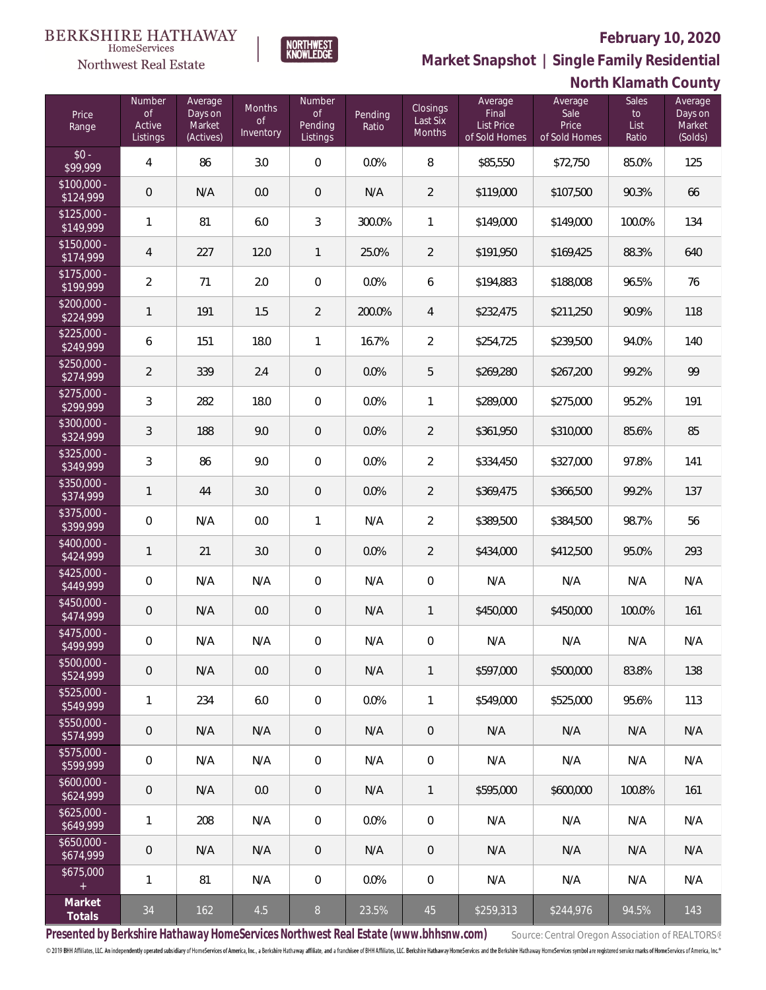

HomeServices Northwest Real Estate

**Market Snapshot | Single Family Residential**

### **North Klamath County**

| Price<br>Range            | Number<br><b>of</b><br>Active<br>Listings | Average<br>Days on<br>Market<br>(Actives) | <b>Months</b><br>$\circ$ f<br>Inventory | Number<br>$\circ$ f<br>Pending<br>Listings | Pending<br>Ratio | Closings<br>Last Six<br><b>Months</b> | Average<br>Final<br>List Price<br>of Sold Homes | Average<br>Sale<br>Price<br>of Sold Homes | Sales<br>to<br>List<br>Ratio | Average<br>Days on<br>Market<br>(Solds) |
|---------------------------|-------------------------------------------|-------------------------------------------|-----------------------------------------|--------------------------------------------|------------------|---------------------------------------|-------------------------------------------------|-------------------------------------------|------------------------------|-----------------------------------------|
| $$0 -$<br>\$99,999        | $\overline{4}$                            | 86                                        | 3.0                                     | $\mathbf 0$                                | 0.0%             | 8                                     | \$85,550                                        | \$72,750                                  | 85.0%                        | 125                                     |
| $$100,000 -$<br>\$124,999 | $\overline{0}$                            | N/A                                       | 0.0                                     | $\overline{0}$                             | N/A              | $\overline{2}$                        | \$119,000                                       | \$107,500                                 | 90.3%                        | 66                                      |
| $$125,000 -$<br>\$149,999 | $\mathbf{1}$                              | 81                                        | 6.0                                     | 3                                          | 300.0%           | 1                                     | \$149,000                                       | \$149,000                                 | 100.0%                       | 134                                     |
| $$150,000 -$<br>\$174,999 | $\overline{4}$                            | 227                                       | 12.0                                    | $\mathbf{1}$                               | 25.0%            | $\overline{2}$                        | \$191,950                                       | \$169,425                                 | 88.3%                        | 640                                     |
| $$175,000 -$<br>\$199,999 | $\overline{2}$                            | 71                                        | 2.0                                     | $\mathbf 0$                                | 0.0%             | 6                                     | \$194,883                                       | \$188,008                                 | 96.5%                        | 76                                      |
| $$200,000 -$<br>\$224,999 | $\mathbf{1}$                              | 191                                       | 1.5                                     | $\overline{2}$                             | 200.0%           | $\overline{4}$                        | \$232,475                                       | \$211,250                                 | 90.9%                        | 118                                     |
| $$225,000 -$<br>\$249,999 | 6                                         | 151                                       | 18.0                                    | $\mathbf{1}$                               | 16.7%            | $\overline{2}$                        | \$254,725                                       | \$239,500                                 | 94.0%                        | 140                                     |
| $$250,000 -$<br>\$274,999 | $\overline{2}$                            | 339                                       | 2.4                                     | $\overline{0}$                             | 0.0%             | 5                                     | \$269,280                                       | \$267,200                                 | 99.2%                        | 99                                      |
| $$275,000 -$<br>\$299,999 | $\mathfrak{Z}$                            | 282                                       | 18.0                                    | $\mathbf 0$                                | 0.0%             | 1                                     | \$289,000                                       | \$275,000                                 | 95.2%                        | 191                                     |
| \$300,000 -<br>\$324,999  | 3                                         | 188                                       | 9.0                                     | $\overline{0}$                             | 0.0%             | 2                                     | \$361,950                                       | \$310,000                                 | 85.6%                        | 85                                      |
| $$325,000 -$<br>\$349,999 | $\mathfrak{Z}$                            | 86                                        | 9.0                                     | $\mathbf 0$                                | 0.0%             | $\overline{2}$                        | \$334,450                                       | \$327,000                                 | 97.8%                        | 141                                     |
| \$350,000 -<br>\$374,999  | $\mathbf{1}$                              | 44                                        | 3.0                                     | $\overline{0}$                             | 0.0%             | $\overline{2}$                        | \$369,475                                       | \$366,500                                 | 99.2%                        | 137                                     |
| \$375,000 -<br>\$399,999  | $\mathbf 0$                               | N/A                                       | 0.0                                     | 1                                          | N/A              | $\overline{2}$                        | \$389,500                                       | \$384,500                                 | 98.7%                        | 56                                      |
| \$400,000 -<br>\$424,999  | $\mathbf{1}$                              | 21                                        | 3.0                                     | $\overline{0}$                             | 0.0%             | 2                                     | \$434,000                                       | \$412,500                                 | 95.0%                        | 293                                     |
| $$425,000 -$<br>\$449,999 | $\overline{0}$                            | N/A                                       | N/A                                     | $\overline{0}$                             | N/A              | $\mathbf 0$                           | N/A                                             | N/A                                       | N/A                          | N/A                                     |
| \$450,000 -<br>\$474,999  | $\mathbf 0$                               | N/A                                       | 0.0                                     | $\overline{0}$                             | N/A              | $\mathbf{1}$                          | \$450,000                                       | \$450,000                                 | 100.0%                       | 161                                     |
| \$475,000 -<br>\$499,999  | $\mathbf 0$                               | N/A                                       | N/A                                     | $\mathbf 0$                                | N/A              | $\mathbf 0$                           | N/A                                             | N/A                                       | N/A                          | N/A                                     |
| $$500,000 -$<br>\$524,999 | $\mathbf 0$                               | N/A                                       | 0.0                                     | $\overline{0}$                             | N/A              | $\mathbf{1}$                          | \$597,000                                       | \$500,000                                 | 83.8%                        | 138                                     |
| $$525,000 -$<br>\$549,999 | 1                                         | 234                                       | 6.0                                     | 0                                          | 0.0%             | $\mathbf{1}$                          | \$549,000                                       | \$525,000                                 | 95.6%                        | 113                                     |
| $$550,000 -$<br>\$574,999 | $\mathbf 0$                               | N/A                                       | N/A                                     | 0                                          | N/A              | $\theta$                              | N/A                                             | N/A                                       | N/A                          | N/A                                     |
| $$575,000 -$<br>\$599,999 | $\mathbf 0$                               | N/A                                       | N/A                                     | 0                                          | N/A              | $\mathbf 0$                           | N/A                                             | N/A                                       | N/A                          | N/A                                     |
| $$600,000 -$<br>\$624,999 | $\mathbf 0$                               | N/A                                       | 0.0                                     | 0                                          | N/A              | 1                                     | \$595,000                                       | \$600,000                                 | 100.8%                       | 161                                     |
| $$625,000 -$<br>\$649,999 | $\mathbf{1}$                              | 208                                       | N/A                                     | 0                                          | 0.0%             | $\mathbf 0$                           | N/A                                             | N/A                                       | N/A                          | N/A                                     |
| $$650,000 -$<br>\$674,999 | $\mathbf 0$                               | N/A                                       | N/A                                     | 0                                          | N/A              | $\mathbf 0$                           | N/A                                             | N/A                                       | N/A                          | N/A                                     |
| \$675,000<br>$\pm$        | $\mathbf{1}$                              | 81                                        | N/A                                     | 0                                          | 0.0%             | $\mathbf 0$                           | N/A                                             | N/A                                       | N/A                          | N/A                                     |
| Market<br>Totals          | 34                                        | 162                                       | 4.5                                     | 8 <sup>°</sup>                             | 23.5%            | 45                                    | \$259,313                                       | \$244,976                                 | 94.5%                        | 143                                     |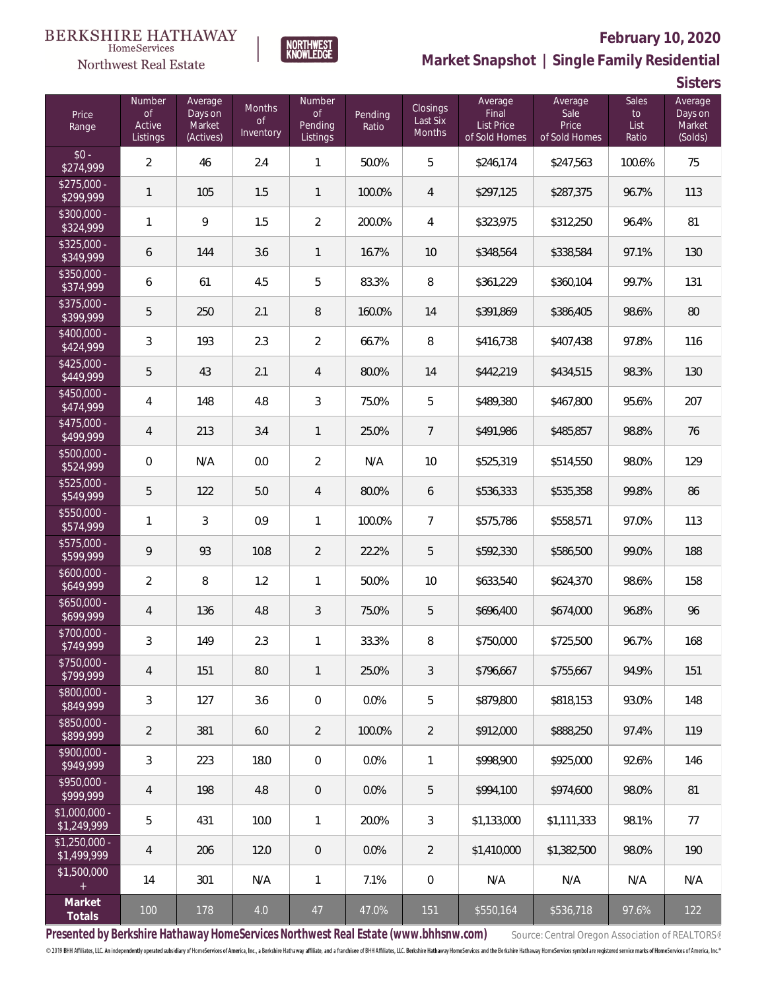



## **February 10, 2020**

**Market Snapshot | Single Family Residential**

**Sisters**

| Price<br>Range                | Number<br><b>of</b><br>Active<br>Listings | Average<br>Days on<br>Market<br>(Actives) | Months<br><b>of</b><br>Inventory | Number<br><b>of</b><br>Pending<br>Listings | Pending<br>Ratio | Closings<br>Last Six<br>Months | Average<br>Final<br><b>List Price</b><br>of Sold Homes | Average<br>Sale<br>Price<br>of Sold Homes | <b>Sales</b><br>to<br>List<br>Ratio | Average<br>Days on<br>Market<br>(Solds) |
|-------------------------------|-------------------------------------------|-------------------------------------------|----------------------------------|--------------------------------------------|------------------|--------------------------------|--------------------------------------------------------|-------------------------------------------|-------------------------------------|-----------------------------------------|
| $$0 -$<br>\$274,999           | $\overline{2}$                            | 46                                        | 2.4                              | $\mathbf{1}$                               | 50.0%            | 5                              | \$246,174                                              | \$247,563                                 | 100.6%                              | 75                                      |
| $$275,000 -$<br>\$299,999     | $\mathbf{1}$                              | 105                                       | 1.5                              | $\mathbf{1}$                               | 100.0%           | $\overline{4}$                 | \$297,125                                              | \$287,375                                 | 96.7%                               | 113                                     |
| \$300,000 -<br>\$324,999      | $\mathbf{1}$                              | 9                                         | 1.5                              | $\overline{2}$                             | 200.0%           | $\overline{4}$                 | \$323,975                                              | \$312,250                                 | 96.4%                               | 81                                      |
| $$325,000 -$<br>\$349,999     | 6                                         | 144                                       | 3.6                              | $\mathbf{1}$                               | 16.7%            | 10                             | \$348,564                                              | \$338,584                                 | 97.1%                               | 130                                     |
| $$350,000 -$<br>\$374,999     | 6                                         | 61                                        | 4.5                              | 5                                          | 83.3%            | 8                              | \$361,229                                              | \$360,104                                 | 99.7%                               | 131                                     |
| \$375,000 -<br>\$399,999      | 5                                         | 250                                       | 2.1                              | 8                                          | 160.0%           | 14                             | \$391,869                                              | \$386,405                                 | 98.6%                               | 80                                      |
| $$400,000 -$<br>\$424,999     | 3                                         | 193                                       | 2.3                              | $\overline{2}$                             | 66.7%            | 8                              | \$416,738                                              | \$407,438                                 | 97.8%                               | 116                                     |
| $$425,000 -$<br>\$449,999     | 5                                         | 43                                        | 2.1                              | 4                                          | 80.0%            | 14                             | \$442,219                                              | \$434,515                                 | 98.3%                               | 130                                     |
| $$450,000 -$<br>\$474,999     | $\overline{4}$                            | 148                                       | 4.8                              | 3                                          | 75.0%            | 5                              | \$489,380                                              | \$467,800                                 | 95.6%                               | 207                                     |
| $$475,000 -$<br>\$499,999     | $\overline{4}$                            | 213                                       | 3.4                              | $\mathbf{1}$                               | 25.0%            | 7                              | \$491,986                                              | \$485,857                                 | 98.8%                               | 76                                      |
| $$500,000 -$<br>\$524,999     | $\mathbf 0$                               | N/A                                       | 0.0                              | $\overline{2}$                             | N/A              | 10                             | \$525,319                                              | \$514,550                                 | 98.0%                               | 129                                     |
| \$525,000 -<br>\$549,999      | 5                                         | 122                                       | 5.0                              | 4                                          | 80.0%            | 6                              | \$536,333                                              | \$535,358                                 | 99.8%                               | 86                                      |
| \$550,000 -<br>\$574,999      | $\mathbf{1}$                              | 3                                         | 0.9                              | $\mathbf{1}$                               | 100.0%           | $\overline{7}$                 | \$575,786                                              | \$558,571                                 | 97.0%                               | 113                                     |
| \$575,000 -<br>\$599,999      | $\mathsf{Q}$                              | 93                                        | 10.8                             | $\overline{2}$                             | 22.2%            | 5                              | \$592,330                                              | \$586,500                                 | 99.0%                               | 188                                     |
| $$600,000 -$<br>\$649,999     | $\overline{2}$                            | 8                                         | 1.2                              | $\mathbf{1}$                               | 50.0%            | 10                             | \$633,540                                              | \$624,370                                 | 98.6%                               | 158                                     |
| $$650,000 -$<br>\$699,999     | $\overline{4}$                            | 136                                       | 4.8                              | 3                                          | 75.0%            | 5                              | \$696,400                                              | \$674,000                                 | 96.8%                               | 96                                      |
| \$700,000 -<br>\$749,999      | $\mathfrak{Z}$                            | 149                                       | 2.3                              | $\mathbf{1}$                               | 33.3%            | 8                              | \$750,000                                              | \$725,500                                 | 96.7%                               | 168                                     |
| \$750,000 -<br>\$799,999      | $\overline{4}$                            | 151                                       | 8.0                              | $\mathbf{1}$                               | 25.0%            | 3                              | \$796,667                                              | \$755,667                                 | 94.9%                               | 151                                     |
| \$800,000 -<br>\$849,999      | 3                                         | 127                                       | 3.6                              | 0                                          | 0.0%             | 5                              | \$879,800                                              | \$818,153                                 | 93.0%                               | 148                                     |
| \$850,000 -<br>\$899,999      | $\overline{2}$                            | 381                                       | 6.0                              | $\overline{2}$                             | 100.0%           | 2                              | \$912,000                                              | \$888,250                                 | 97.4%                               | 119                                     |
| \$900,000 -<br>\$949,999      | 3                                         | 223                                       | 18.0                             | 0                                          | 0.0%             | $\mathbf{1}$                   | \$998,900                                              | \$925,000                                 | 92.6%                               | 146                                     |
| \$950,000 -<br>\$999,999      | $\overline{4}$                            | 198                                       | 4.8                              | 0                                          | 0.0%             | 5                              | \$994.100                                              | \$974,600                                 | 98.0%                               | 81                                      |
| $$1,000,000 -$<br>\$1,249,999 | 5                                         | 431                                       | 10.0                             | 1                                          | 20.0%            | 3                              | \$1,133,000                                            | \$1,111,333                               | 98.1%                               | 77                                      |
| $$1,250,000 -$<br>\$1,499,999 | $\overline{4}$                            | 206                                       | 12.0                             | 0                                          | 0.0%             | $\overline{2}$                 | \$1,410,000                                            | \$1,382,500                               | 98.0%                               | 190                                     |
| \$1,500,000<br>$\pm$          | 14                                        | 301                                       | N/A                              | 1                                          | 7.1%             | $\mathbf 0$                    | N/A                                                    | N/A                                       | N/A                                 | N/A                                     |
| Market<br>Totals              | 100                                       | 178                                       | 4.0                              | 47                                         | 47.0%            | 151                            | \$550,164                                              | \$536,718                                 | 97.6%                               | 122                                     |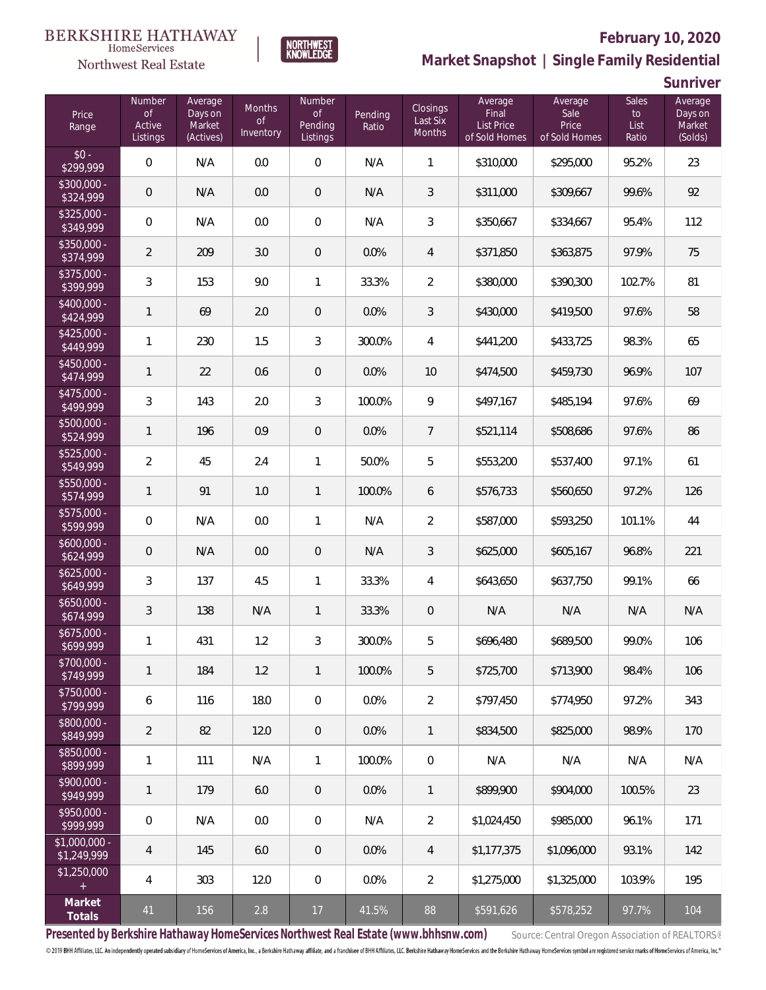

### **February 10, 2020**



**Market Snapshot | Single Family Residential**

**Sunriver**

| Price<br>Range                | Number<br><b>of</b><br>Active<br>Listings | Average<br>Days on<br>Market<br>(Actives) | Months<br><b>of</b><br>Inventory | Number<br>$\mathop{\rm of}$<br>Pending<br>Listings | Pending<br>Ratio | Closings<br>Last Six<br><b>Months</b> | Average<br>Final<br><b>List Price</b><br>of Sold Homes | Average<br>Sale<br>Price<br>of Sold Homes | <b>Sales</b><br>to<br>List<br>Ratio | Average<br>Days on<br>Market<br>(Solds) |
|-------------------------------|-------------------------------------------|-------------------------------------------|----------------------------------|----------------------------------------------------|------------------|---------------------------------------|--------------------------------------------------------|-------------------------------------------|-------------------------------------|-----------------------------------------|
| $$0 -$<br>\$299,999           | $\mathbf 0$                               | N/A                                       | 0.0                              | $\boldsymbol{0}$                                   | N/A              | 1                                     | \$310,000                                              | \$295,000                                 | 95.2%                               | 23                                      |
| $$300,000 -$<br>\$324,999     | $\theta$                                  | N/A                                       | 0.0                              | $\overline{0}$                                     | N/A              | 3                                     | \$311,000                                              | \$309,667                                 | 99.6%                               | 92                                      |
| $$325,000 -$<br>\$349,999     | $\mathbf 0$                               | N/A                                       | 0.0                              | 0                                                  | N/A              | 3                                     | \$350,667                                              | \$334,667                                 | 95.4%                               | 112                                     |
| \$350,000 -<br>\$374,999      | $\overline{2}$                            | 209                                       | 3.0                              | $\overline{0}$                                     | 0.0%             | $\overline{4}$                        | \$371,850                                              | \$363,875                                 | 97.9%                               | 75                                      |
| $$375,000 -$<br>\$399,999     | $\mathfrak{Z}$                            | 153                                       | 9.0                              | 1                                                  | 33.3%            | $\overline{2}$                        | \$380,000                                              | \$390,300                                 | 102.7%                              | 81                                      |
| $$400,000 -$<br>\$424,999     | 1                                         | 69                                        | 2.0                              | $\overline{0}$                                     | 0.0%             | 3                                     | \$430,000                                              | \$419,500                                 | 97.6%                               | 58                                      |
| $$425,000 -$<br>\$449,999     | $\mathbf{1}$                              | 230                                       | 1.5                              | 3                                                  | 300.0%           | 4                                     | \$441,200                                              | \$433,725                                 | 98.3%                               | 65                                      |
| $$450.000 -$<br>\$474,999     | $\mathbf{1}$                              | 22                                        | 0.6                              | $\overline{0}$                                     | 0.0%             | 10                                    | \$474,500                                              | \$459,730                                 | 96.9%                               | 107                                     |
| $$475,000 -$<br>\$499,999     | $\mathfrak{Z}$                            | 143                                       | 2.0                              | 3                                                  | 100.0%           | 9                                     | \$497,167                                              | \$485,194                                 | 97.6%                               | 69                                      |
| $$500.000 -$<br>\$524,999     | $\mathbf{1}$                              | 196                                       | 0.9                              | $\overline{0}$                                     | 0.0%             | $\overline{7}$                        | \$521,114                                              | \$508,686                                 | 97.6%                               | 86                                      |
| $$525,000 -$<br>\$549,999     | $\overline{2}$                            | 45                                        | 2.4                              | $\mathbf{1}$                                       | 50.0%            | 5                                     | \$553,200                                              | \$537,400                                 | 97.1%                               | 61                                      |
| \$550,000 -<br>\$574,999      | $\mathbf{1}$                              | 91                                        | 1.0                              | $\mathbf{1}$                                       | 100.0%           | 6                                     | \$576,733                                              | \$560,650                                 | 97.2%                               | 126                                     |
| \$575,000 -<br>\$599,999      | $\mathbf 0$                               | N/A                                       | 0.0                              | $\mathbf{1}$                                       | N/A              | $\overline{2}$                        | \$587,000                                              | \$593,250                                 | 101.1%                              | 44                                      |
| $$600,000 -$<br>\$624,999     | $\mathbf 0$                               | N/A                                       | 0.0                              | $\theta$                                           | N/A              | 3                                     | \$625,000                                              | \$605,167                                 | 96.8%                               | 221                                     |
| $$625,000 -$<br>\$649,999     | $\mathfrak{Z}$                            | 137                                       | 4.5                              | $\mathbf{1}$                                       | 33.3%            | 4                                     | \$643,650                                              | \$637,750                                 | 99.1%                               | 66                                      |
| $$650,000 -$<br>\$674,999     | $\mathfrak{Z}$                            | 138                                       | N/A                              | $\mathbf{1}$                                       | 33.3%            | $\mathsf{O}\xspace$                   | N/A                                                    | N/A                                       | N/A                                 | N/A                                     |
| $$675,000 -$<br>\$699,999     | 1                                         | 431                                       | 1.2                              | $\sqrt{3}$                                         | 300.0%           | 5                                     | \$696,480                                              | \$689,500                                 | 99.0%                               | 106                                     |
| \$700,000 -<br>\$749,999      | 1                                         | 184                                       | 1.2                              | $\mathbf{1}$                                       | 100.0%           | 5                                     | \$725,700                                              | \$713,900                                 | 98.4%                               | 106                                     |
| $$750,000 -$<br>\$799,999     | 6                                         | 116                                       | 18.0                             | 0                                                  | 0.0%             | $\overline{2}$                        | \$797,450                                              | \$774,950                                 | 97.2%                               | 343                                     |
| \$800,000 -<br>\$849,999      | $\overline{2}$                            | 82                                        | 12.0                             | $\theta$                                           | 0.0%             | $\mathbf{1}$                          | \$834,500                                              | \$825,000                                 | 98.9%                               | 170                                     |
| \$850,000 -<br>\$899,999      | $\mathbf{1}$                              | 111                                       | N/A                              | 1                                                  | 100.0%           | $\mathbf 0$                           | N/A                                                    | N/A                                       | N/A                                 | N/A                                     |
| \$900,000 -<br>\$949,999      | $\mathbf{1}$                              | 179                                       | 6.0                              | $\theta$                                           | 0.0%             | $\mathbf{1}$                          | \$899,900                                              | \$904.000                                 | 100.5%                              | 23                                      |
| \$950,000 -<br>\$999,999      | $\mathbf 0$                               | N/A                                       | 0.0                              | 0                                                  | N/A              | $\overline{2}$                        | \$1,024,450                                            | \$985,000                                 | 96.1%                               | 171                                     |
| $$1,000,000 -$<br>\$1,249,999 | $\overline{4}$                            | 145                                       | 6.0                              | $\theta$                                           | 0.0%             | $\overline{4}$                        | \$1,177,375                                            | \$1,096,000                               | 93.1%                               | 142                                     |
| \$1,250,000<br>$+$            | $\overline{4}$                            | 303                                       | 12.0                             | 0                                                  | 0.0%             | 2                                     | \$1,275,000                                            | \$1,325,000                               | 103.9%                              | 195                                     |
| Market<br>Totals              | 41                                        | 156                                       | 2.8                              | 17                                                 | 41.5%            | 88                                    | \$591,626                                              | \$578,252                                 | 97.7%                               | 104                                     |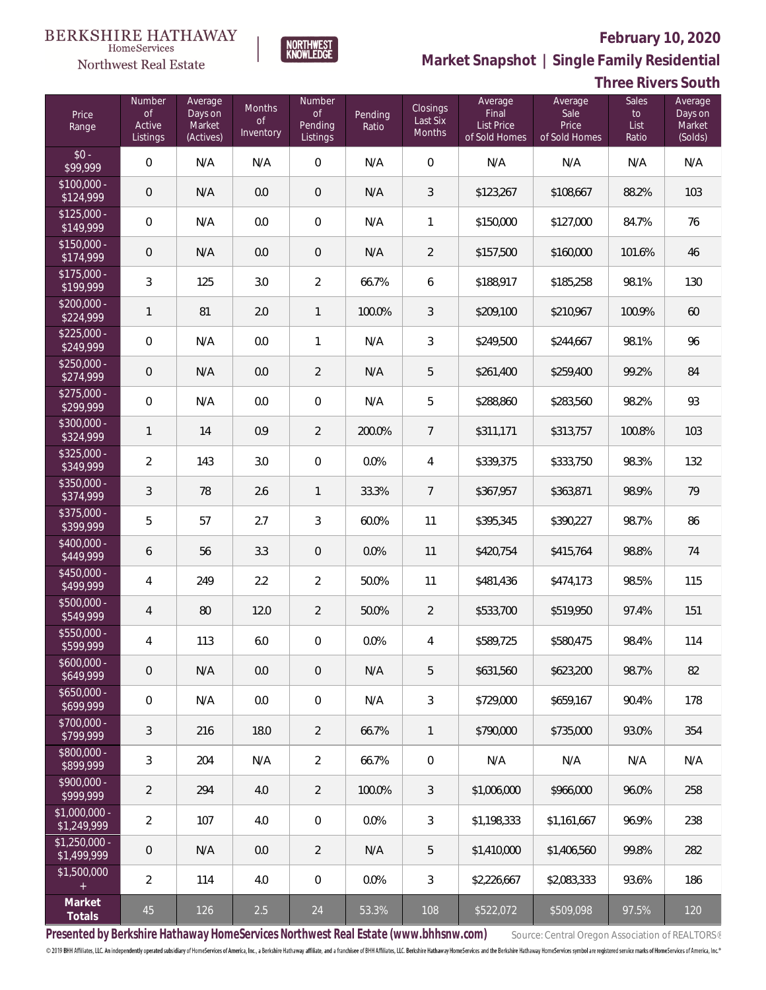**Three Rivers South**



**Market Snapshot | Single Family Residential**

#### $\label{lem:sevices} \textsc{Home} \textsc{Service} \textsc{s}$ Northwest Real Estate

| Price<br>Range                | Number<br><b>of</b><br>Active<br>Listings | Average<br>Days on<br>Market<br>(Actives) | Months<br><b>of</b><br>Inventory | Number<br><b>of</b><br>Pending<br>Listings | Pending<br>Ratio | Closings<br>Last Six<br><b>Months</b> | Average<br>Final<br><b>List Price</b><br>of Sold Homes | Average<br>Sale<br>Price<br>of Sold Homes | Sales<br>to<br>List<br>Ratio | Average<br>Days on<br>Market<br>(Solds) |
|-------------------------------|-------------------------------------------|-------------------------------------------|----------------------------------|--------------------------------------------|------------------|---------------------------------------|--------------------------------------------------------|-------------------------------------------|------------------------------|-----------------------------------------|
| $$0 -$<br>\$99,999            | $\mathbf 0$                               | N/A                                       | N/A                              | 0                                          | N/A              | $\overline{0}$                        | N/A                                                    | N/A                                       | N/A                          | N/A                                     |
| $$100,000 -$<br>\$124,999     | $\mathbf 0$                               | N/A                                       | 0.0                              | $\mathbf 0$                                | N/A              | 3                                     | \$123,267                                              | \$108,667                                 | 88.2%                        | 103                                     |
| $$125,000 -$<br>\$149,999     | $\mathbf 0$                               | N/A                                       | 0.0                              | 0                                          | N/A              | $\mathbf{1}$                          | \$150,000                                              | \$127,000                                 | 84.7%                        | 76                                      |
| $$150,000 -$<br>\$174,999     | $\mathbf 0$                               | N/A                                       | 0.0                              | $\mathbf 0$                                | N/A              | $\overline{2}$                        | \$157,500                                              | \$160,000                                 | 101.6%                       | 46                                      |
| $$175,000 -$<br>\$199,999     | $\mathfrak{Z}$                            | 125                                       | 3.0                              | $\overline{2}$                             | 66.7%            | 6                                     | \$188,917                                              | \$185,258                                 | 98.1%                        | 130                                     |
| $$200,000 -$<br>\$224,999     | $\mathbf{1}$                              | 81                                        | 2.0                              | $\mathbf{1}$                               | 100.0%           | 3                                     | \$209,100                                              | \$210,967                                 | 100.9%                       | 60                                      |
| $$225,000 -$<br>\$249,999     | $\mathbf 0$                               | N/A                                       | 0.0                              | 1                                          | N/A              | 3                                     | \$249,500                                              | \$244,667                                 | 98.1%                        | 96                                      |
| $$250,000 -$<br>\$274,999     | $\mathbf 0$                               | N/A                                       | 0.0                              | $\overline{2}$                             | N/A              | 5                                     | \$261,400                                              | \$259,400                                 | 99.2%                        | 84                                      |
| $$275,000 -$<br>\$299,999     | $\mathbf 0$                               | N/A                                       | 0.0                              | $\mathbf 0$                                | N/A              | 5                                     | \$288,860                                              | \$283,560                                 | 98.2%                        | 93                                      |
| $$300.000 -$<br>\$324,999     | $\mathbf{1}$                              | 14                                        | 0.9                              | $\overline{2}$                             | 200.0%           | $\overline{7}$                        | \$311,171                                              | \$313,757                                 | 100.8%                       | 103                                     |
| $$325,000 -$<br>\$349,999     | $\sqrt{2}$                                | 143                                       | 3.0                              | 0                                          | 0.0%             | 4                                     | \$339,375                                              | \$333,750                                 | 98.3%                        | 132                                     |
| \$350,000 -<br>\$374,999      | $\mathfrak{Z}$                            | 78                                        | 2.6                              | $\mathbf{1}$                               | 33.3%            | 7                                     | \$367,957                                              | \$363,871                                 | 98.9%                        | 79                                      |
| \$375,000 -<br>\$399,999      | 5                                         | 57                                        | 2.7                              | 3                                          | 60.0%            | 11                                    | \$395,345                                              | \$390,227                                 | 98.7%                        | 86                                      |
| \$400,000 -<br>\$449,999      | 6                                         | 56                                        | 3.3                              | $\mathbf 0$                                | 0.0%             | 11                                    | \$420,754                                              | \$415,764                                 | 98.8%                        | 74                                      |
| $$450,000 -$<br>\$499,999     | $\overline{4}$                            | 249                                       | 2.2                              | $\overline{2}$                             | 50.0%            | 11                                    | \$481,436                                              | \$474,173                                 | 98.5%                        | 115                                     |
| \$500,000 -<br>\$549,999      | $\overline{4}$                            | 80                                        | 12.0                             | $\overline{2}$                             | 50.0%            | $\overline{2}$                        | \$533,700                                              | \$519,950                                 | 97.4%                        | 151                                     |
| \$550,000 -<br>\$599,999      | 4                                         | 113                                       | $6.0\,$                          | $\mathbf 0$                                | 0.0%             | 4                                     | \$589,725                                              | \$580,475                                 | 98.4%                        | 114                                     |
| $$600,000 -$<br>\$649,999     | $\mathbf 0$                               | N/A                                       | 0.0                              | 0                                          | N/A              | 5                                     | \$631,560                                              | \$623,200                                 | 98.7%                        | 82                                      |
| $$650,000 -$<br>\$699,999     | $\mathbf 0$                               | N/A                                       | 0.0                              | 0                                          | N/A              | 3                                     | \$729,000                                              | \$659,167                                 | 90.4%                        | 178                                     |
| $$700,000 -$<br>\$799,999     | 3                                         | 216                                       | 18.0                             | $\overline{2}$                             | 66.7%            | 1                                     | \$790,000                                              | \$735,000                                 | 93.0%                        | 354                                     |
| \$800,000 -<br>\$899,999      | 3                                         | 204                                       | N/A                              | $\overline{2}$                             | 66.7%            | $\mathbf 0$                           | N/A                                                    | N/A                                       | N/A                          | N/A                                     |
| $$900,000 -$<br>\$999,999     | $\overline{2}$                            | 294                                       | 4.0                              | $\overline{2}$                             | 100.0%           | 3                                     | \$1,006,000                                            | \$966,000                                 | 96.0%                        | 258                                     |
| $$1,000,000 -$<br>\$1,249,999 | $\overline{2}$                            | 107                                       | 4.0                              | 0                                          | 0.0%             | 3                                     | \$1,198,333                                            | \$1,161,667                               | 96.9%                        | 238                                     |
| $$1,250,000 -$<br>\$1,499,999 | $\mathbf 0$                               | N/A                                       | 0.0                              | $\overline{2}$                             | N/A              | 5                                     | \$1,410,000                                            | \$1,406,560                               | 99.8%                        | 282                                     |
| \$1,500,000<br>$+$            | $\overline{2}$                            | 114                                       | 4.0                              | 0                                          | 0.0%             | 3                                     | \$2,226,667                                            | \$2,083,333                               | 93.6%                        | 186                                     |
| Market<br>Totals              | 45                                        | 126                                       | 2.5                              | 24                                         | 53.3%            | 108                                   | \$522,072                                              | \$509,098                                 | 97.5%                        | 120                                     |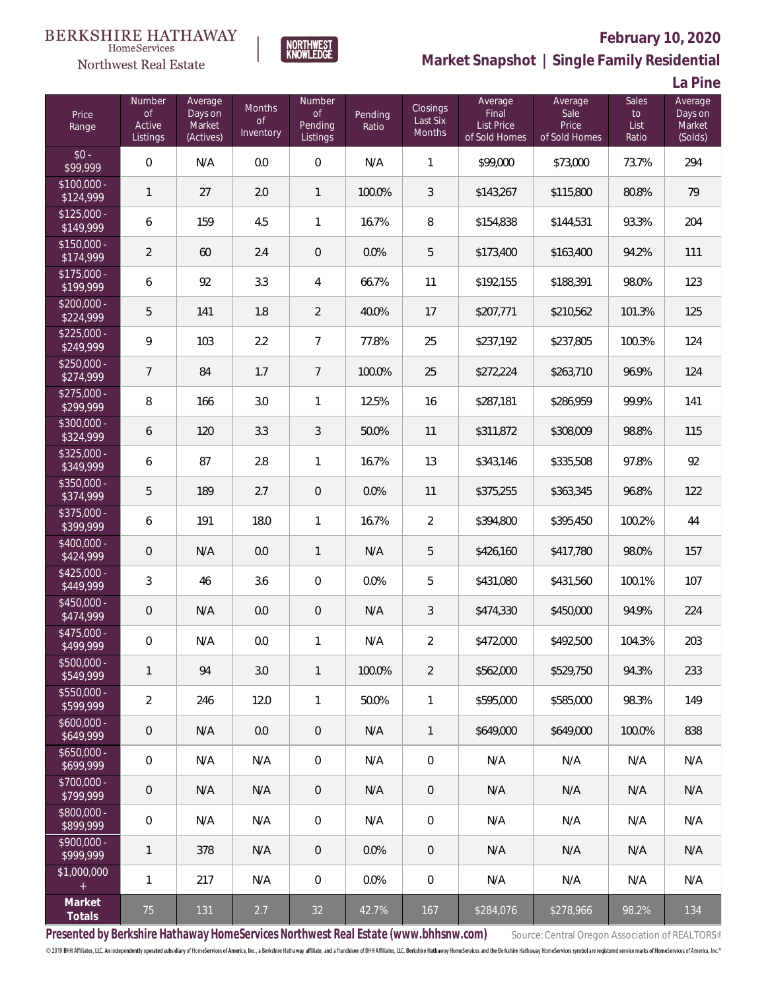



# **February 10, 2020**

**Market Snapshot | Single Family Residential**

**La Pine**

| Price<br>Range                                  | Number<br><b>of</b><br>Active<br>Listings | Average<br>Days on<br>Market<br>(Actives) | Months<br><b>of</b><br>Inventory | Number<br>$\mathsf{of}$<br>Pending<br>Listings | Pending<br>Ratio | Closings<br>Last Six<br><b>Months</b> | Average<br>Final<br><b>List Price</b><br>of Sold Homes | Average<br>Sale<br>Price<br>of Sold Homes | <b>Sales</b><br>$\mathsf{to}$<br>List<br>Ratio | Average<br>Days on<br>Market<br>(Solds) |
|-------------------------------------------------|-------------------------------------------|-------------------------------------------|----------------------------------|------------------------------------------------|------------------|---------------------------------------|--------------------------------------------------------|-------------------------------------------|------------------------------------------------|-----------------------------------------|
| $$0 -$<br>\$99,999                              | $\overline{0}$                            | N/A                                       | 0.0                              | $\boldsymbol{0}$                               | N/A              | 1                                     | \$99,000                                               | \$73,000                                  | 73.7%                                          | 294                                     |
| $$100.000 -$<br>\$124,999                       | $\mathbf{1}$                              | 27                                        | 2.0                              | $\mathbf{1}$                                   | 100.0%           | 3                                     | \$143,267                                              | \$115,800                                 | 80.8%                                          | 79                                      |
| $$125,000 -$<br>\$149,999                       | 6                                         | 159                                       | 4.5                              | 1                                              | 16.7%            | 8                                     | \$154,838                                              | \$144,531                                 | 93.3%                                          | 204                                     |
| $$150,000 -$<br>\$174,999                       | $\overline{2}$                            | 60                                        | 2.4                              | $\overline{0}$                                 | 0.0%             | 5                                     | \$173,400                                              | \$163,400                                 | 94.2%                                          | 111                                     |
| $$175,000 -$<br>\$199,999                       | 6                                         | 92                                        | 3.3                              | 4                                              | 66.7%            | 11                                    | \$192,155                                              | \$188,391                                 | 98.0%                                          | 123                                     |
| $$200,000 -$<br>\$224,999                       | 5                                         | 141                                       | 1.8                              | $\overline{2}$                                 | 40.0%            | 17                                    | \$207,771                                              | \$210,562                                 | 101.3%                                         | 125                                     |
| $$225,000 -$<br>\$249,999                       | 9                                         | 103                                       | 2.2                              | $\overline{7}$                                 | 77.8%            | 25                                    | \$237,192                                              | \$237,805                                 | 100.3%                                         | 124                                     |
| $$250,000 -$<br>\$274,999                       | $\overline{7}$                            | 84                                        | 1.7                              | $\overline{7}$                                 | 100.0%           | 25                                    | \$272,224                                              | \$263,710                                 | 96.9%                                          | 124                                     |
| $$275,000 -$<br>\$299,999                       | $\, 8$                                    | 166                                       | 3.0                              | 1                                              | 12.5%            | 16                                    | \$287,181                                              | \$286,959                                 | 99.9%                                          | 141                                     |
| \$300,000 -<br>\$324,999                        | 6                                         | 120                                       | 3.3                              | $\mathfrak{Z}$                                 | 50.0%            | 11                                    | \$311,872                                              | \$308,009                                 | 98.8%                                          | 115                                     |
| $$325,000 -$<br>\$349,999                       | 6                                         | 87                                        | 2.8                              | 1                                              | 16.7%            | 13                                    | \$343,146                                              | \$335,508                                 | 97.8%                                          | 92                                      |
| \$350,000 -<br>\$374,999                        | 5                                         | 189                                       | 2.7                              | $\,0\,$                                        | 0.0%             | 11                                    | \$375,255                                              | \$363,345                                 | 96.8%                                          | 122                                     |
| $$375,000 -$<br>\$399,999                       | 6                                         | 191                                       | 18.0                             | $\mathbf{1}$                                   | 16.7%            | $\overline{2}$                        | \$394,800                                              | \$395,450                                 | 100.2%                                         | 44                                      |
| \$400,000 -<br>\$424,999                        | $\mathbf 0$                               | N/A                                       | 0.0                              | $\mathbf{1}$                                   | N/A              | 5                                     | \$426,160                                              | \$417,780                                 | 98.0%                                          | 157                                     |
| $$425,000 -$<br>\$449,999                       | $\mathfrak{Z}$                            | 46                                        | 3.6                              | $\boldsymbol{0}$                               | 0.0%             | 5                                     | \$431,080                                              | \$431,560                                 | 100.1%                                         | 107                                     |
| $$450,000 -$<br>\$474,999                       | $\mathbf 0$                               | N/A                                       | 0.0                              | $\theta$                                       | N/A              | 3                                     | \$474,330                                              | \$450,000                                 | 94.9%                                          | 224                                     |
| $$475,000 -$<br>\$499,999                       | $\mathbf 0$                               | N/A                                       | $0.0\,$                          | $\mathbf{1}$                                   | N/A              | $\overline{2}$                        | \$472,000                                              | \$492,500                                 | 104.3%                                         | 203                                     |
| \$500,000 -<br>\$549,999                        | 1                                         | 94                                        | 3.0                              | $\mathbf{1}$                                   | 100.0%           | 2                                     | \$562,000                                              | \$529,750                                 | 94.3%                                          | 233                                     |
| $$550,000 -$<br>\$599,999                       | $\overline{2}$                            | 246                                       | 12.0                             | 1                                              | 50.0%            | 1                                     | \$595,000                                              | \$585,000                                 | 98.3%                                          | 149                                     |
| $$600,000 -$<br>\$649,999                       | $\theta$                                  | N/A                                       | 0.0                              | $\theta$                                       | N/A              | $\mathbf{1}$                          | \$649,000                                              | \$649,000                                 | 100.0%                                         | 838                                     |
| $$650,000 -$<br>\$699,999                       | $\mathbf 0$                               | N/A                                       | N/A                              | 0                                              | N/A              | $\overline{0}$                        | N/A                                                    | N/A                                       | N/A                                            | N/A                                     |
| $$700,000 -$<br>\$799,999                       | $\theta$                                  | N/A                                       | N/A                              | $\theta$                                       | N/A              | $\overline{0}$                        | N/A                                                    | N/A                                       | N/A                                            | N/A                                     |
| \$800,000 -<br>\$899,999                        | $\mathbf 0$                               | N/A                                       | N/A                              | 0                                              | N/A              | $\mathbf 0$                           | N/A                                                    | N/A                                       | N/A                                            | N/A                                     |
| \$900,000 -<br>\$999,999                        | $\mathbf{1}$                              | 378                                       | N/A                              | $\overline{0}$                                 | 0.0%             | $\overline{0}$                        | N/A                                                    | N/A                                       | N/A                                            | N/A                                     |
| \$1,000,000<br>$\begin{array}{c} + \end{array}$ | $\mathbf{1}$                              | 217                                       | N/A                              | 0                                              | 0.0%             | $\mathbf 0$                           | N/A                                                    | N/A                                       | N/A                                            | N/A                                     |
| Market<br>Totals                                | 75                                        | 131                                       | 2.7                              | 32                                             | 42.7%            | 167                                   | \$284,076                                              | \$278,966                                 | 98.2%                                          | 134                                     |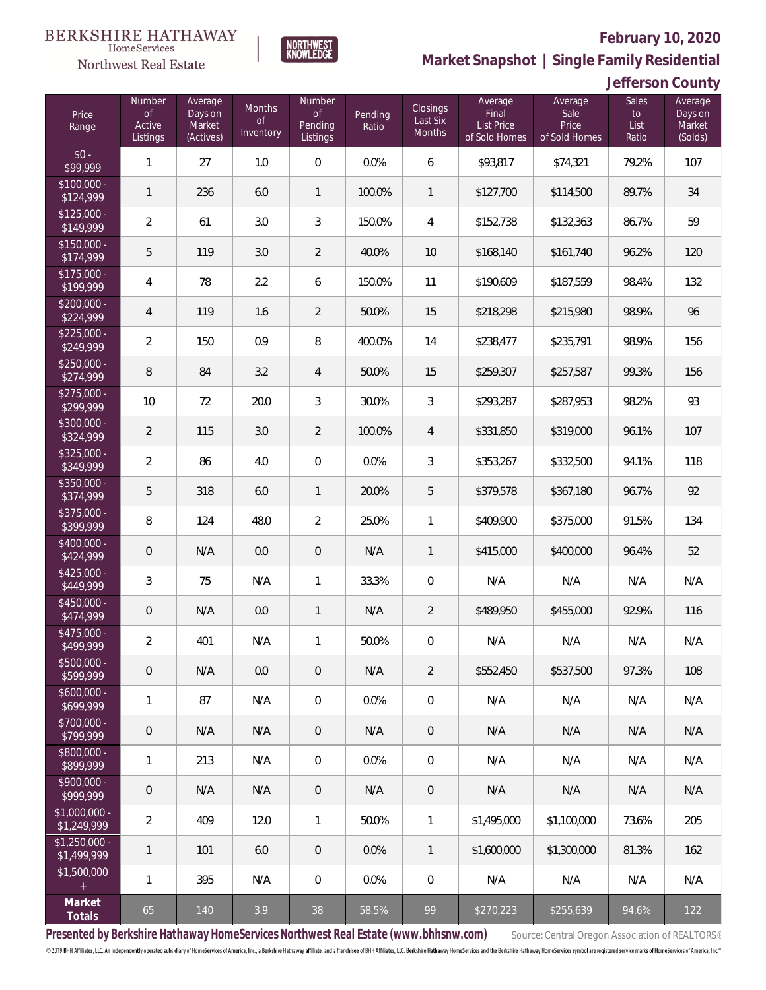

#### **February 10, 2020**

**Market Snapshot | Single Family Residential**

#### **Jefferson County**

| Price<br>Range                | <b>Number</b><br><b>of</b><br>Active<br>Listings | Average<br>Days on<br>Market<br>(Actives) | <b>Months</b><br><b>of</b><br>Inventory | Number<br>$\circ$ f<br>Pending<br>Listings | Pending<br>Ratio | Closings<br>Last Six<br>Months | Average<br>Final<br><b>List Price</b><br>of Sold Homes | Average<br>Sale<br>Price<br>of Sold Homes | <b>Sales</b><br>$\mathsf{to}$<br>List<br>Ratio | Average<br>Days on<br>Market<br>(Solds) |
|-------------------------------|--------------------------------------------------|-------------------------------------------|-----------------------------------------|--------------------------------------------|------------------|--------------------------------|--------------------------------------------------------|-------------------------------------------|------------------------------------------------|-----------------------------------------|
| $$0 -$<br>\$99,999            | $\mathbf{1}$                                     | 27                                        | 1.0                                     | $\boldsymbol{0}$                           | 0.0%             | 6                              | \$93,817                                               | \$74,321                                  | 79.2%                                          | 107                                     |
| $$100,000 -$<br>\$124,999     | $\mathbf{1}$                                     | 236                                       | 6.0                                     | $\mathbf{1}$                               | 100.0%           | $\mathbf{1}$                   | \$127,700                                              | \$114,500                                 | 89.7%                                          | 34                                      |
| $$125,000 -$<br>\$149,999     | $\overline{2}$                                   | 61                                        | 3.0                                     | 3                                          | 150.0%           | $\overline{4}$                 | \$152,738                                              | \$132,363                                 | 86.7%                                          | 59                                      |
| $$150,000 -$<br>\$174,999     | 5                                                | 119                                       | 3.0                                     | $\overline{2}$                             | 40.0%            | 10                             | \$168,140                                              | \$161,740                                 | 96.2%                                          | 120                                     |
| $$175,000 -$<br>\$199,999     | $\overline{4}$                                   | 78                                        | 2.2                                     | 6                                          | 150.0%           | 11                             | \$190,609                                              | \$187,559                                 | 98.4%                                          | 132                                     |
| $$200,000 -$<br>\$224,999     | $\overline{4}$                                   | 119                                       | 1.6                                     | $\overline{2}$                             | 50.0%            | 15                             | \$218,298                                              | \$215,980                                 | 98.9%                                          | 96                                      |
| $$225,000 -$<br>\$249,999     | $\overline{2}$                                   | 150                                       | 0.9                                     | 8                                          | 400.0%           | 14                             | \$238,477                                              | \$235,791                                 | 98.9%                                          | 156                                     |
| $$250,000 -$<br>\$274,999     | $\, 8$                                           | 84                                        | 3.2                                     | $\overline{4}$                             | 50.0%            | 15                             | \$259,307                                              | \$257,587                                 | 99.3%                                          | 156                                     |
| $$275,000 -$<br>\$299,999     | 10                                               | 72                                        | 20.0                                    | 3                                          | 30.0%            | 3                              | \$293,287                                              | \$287,953                                 | 98.2%                                          | 93                                      |
| \$300,000 -<br>\$324,999      | $\overline{2}$                                   | 115                                       | 3.0                                     | $\overline{2}$                             | 100.0%           | $\overline{4}$                 | \$331,850                                              | \$319,000                                 | 96.1%                                          | 107                                     |
| \$325,000 -<br>\$349,999      | $\overline{2}$                                   | 86                                        | 4.0                                     | $\boldsymbol{0}$                           | 0.0%             | 3                              | \$353,267                                              | \$332,500                                 | 94.1%                                          | 118                                     |
| \$350,000 -<br>\$374,999      | 5                                                | 318                                       | 6.0                                     | $\mathbf{1}$                               | 20.0%            | 5                              | \$379,578                                              | \$367,180                                 | 96.7%                                          | 92                                      |
| \$375,000 -<br>\$399,999      | $\, 8$                                           | 124                                       | 48.0                                    | $\overline{2}$                             | 25.0%            | 1                              | \$409,900                                              | \$375,000                                 | 91.5%                                          | 134                                     |
| \$400,000 -<br>\$424,999      | $\mathbf 0$                                      | N/A                                       | 0.0                                     | $\theta$                                   | N/A              | 1                              | \$415,000                                              | \$400,000                                 | 96.4%                                          | 52                                      |
| $$425,000 -$<br>\$449,999     | $\mathfrak{Z}$                                   | 75                                        | N/A                                     | 1                                          | 33.3%            | $\mathbf 0$                    | N/A                                                    | N/A                                       | N/A                                            | N/A                                     |
| $$450,000 -$<br>\$474,999     | $\mathbf 0$                                      | N/A                                       | 0.0                                     | $\mathbf{1}$                               | N/A              | $\overline{2}$                 | \$489,950                                              | \$455,000                                 | 92.9%                                          | 116                                     |
| \$475,000 -<br>\$499,999      | $\overline{2}$                                   | 401                                       | N/A                                     | 1                                          | 50.0%            | $\,0\,$                        | N/A                                                    | N/A                                       | N/A                                            | N/A                                     |
| $$500,000 -$<br>\$599,999     | $\theta$                                         | N/A                                       | 0.0                                     | $\mathbf{0}$                               | N/A              | 2                              | \$552,450                                              | \$537,500                                 | 97.3%                                          | 108                                     |
| $$600,000 -$<br>\$699,999     | $\mathbf{1}$                                     | 87                                        | N/A                                     | 0                                          | 0.0%             | $\mathbf 0$                    | N/A                                                    | N/A                                       | N/A                                            | N/A                                     |
| \$700,000 -<br>\$799,999      | $\theta$                                         | N/A                                       | N/A                                     | $\overline{0}$                             | N/A              | $\overline{0}$                 | N/A                                                    | N/A                                       | N/A                                            | N/A                                     |
| \$800,000 -<br>\$899,999      | $\mathbf{1}$                                     | 213                                       | N/A                                     | 0                                          | 0.0%             | $\mathbf 0$                    | N/A                                                    | N/A                                       | N/A                                            | N/A                                     |
| $$900,000 -$<br>\$999,999     | $\theta$                                         | N/A                                       | N/A                                     | $\overline{0}$                             | N/A              | $\mathsf{O}\xspace$            | N/A                                                    | N/A                                       | N/A                                            | N/A                                     |
| $$1,000,000 -$<br>\$1,249,999 | $\overline{2}$                                   | 409                                       | 12.0                                    | 1                                          | 50.0%            | $\mathbf{1}$                   | \$1,495,000                                            | \$1,100,000                               | 73.6%                                          | 205                                     |
| $$1,250,000 -$<br>\$1,499,999 | $\mathbf{1}$                                     | 101                                       | 6.0                                     | $\overline{0}$                             | 0.0%             | $\overline{1}$                 | \$1,600,000                                            | \$1,300,000                               | 81.3%                                          | 162                                     |
| \$1,500,000<br>$+$            | $\mathbf{1}$                                     | 395                                       | N/A                                     | 0                                          | 0.0%             | $\mathbf 0$                    | N/A                                                    | N/A                                       | N/A                                            | N/A                                     |
| Market<br>Totals              | 65                                               | 140                                       | 3.9                                     | 38                                         | 58.5%            | 99                             | \$270,223                                              | \$255,639                                 | 94.6%                                          | 122                                     |

**NORTHWEST**<br>KNOWLEDGE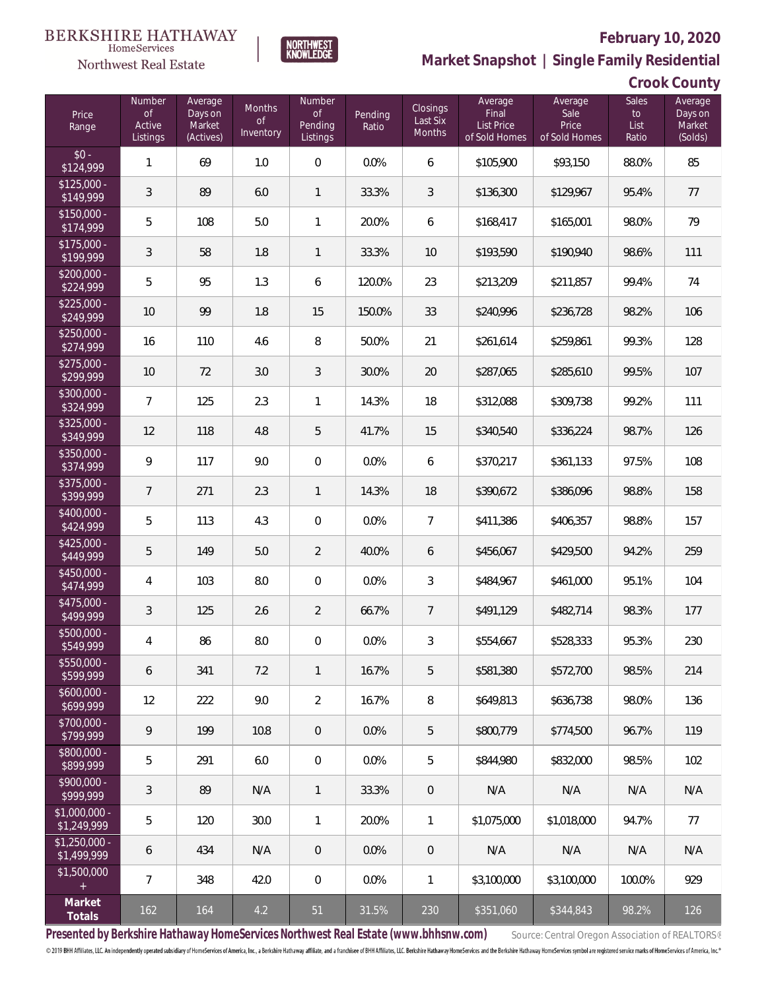

**NORTHWEST**<br>KNOWLEDGE

**Market Snapshot | Single Family Residential**

#### **Crook County**

| Price<br>Range                | Number<br><b>of</b><br>Active<br>Listings | Average<br>Days on<br>Market<br>(Actives) | <b>Months</b><br>$\circ$ f<br>Inventory | Number<br>$\circ$ f<br>Pending<br>Listings | Pending<br>Ratio | Closings<br>Last Six<br>Months | Average<br>Final<br>List Price<br>of Sold Homes | Average<br>Sale<br>Price<br>of Sold Homes | <b>Sales</b><br>to<br>List<br>Ratio | Average<br>Days on<br>Market<br>(Solds) |
|-------------------------------|-------------------------------------------|-------------------------------------------|-----------------------------------------|--------------------------------------------|------------------|--------------------------------|-------------------------------------------------|-------------------------------------------|-------------------------------------|-----------------------------------------|
| $$0 -$<br>\$124,999           | $\mathbf{1}$                              | 69                                        | 1.0                                     | 0                                          | 0.0%             | 6                              | \$105,900                                       | \$93,150                                  | 88.0%                               | 85                                      |
| $$125,000 -$<br>\$149,999     | 3                                         | 89                                        | 6.0                                     | $\mathbf{1}$                               | 33.3%            | 3                              | \$136,300                                       | \$129,967                                 | 95.4%                               | 77                                      |
| $$150,000 -$<br>\$174,999     | 5                                         | 108                                       | 5.0                                     | $\mathbf{1}$                               | 20.0%            | 6                              | \$168,417                                       | \$165,001                                 | 98.0%                               | 79                                      |
| $$175,000 -$<br>\$199,999     | 3                                         | 58                                        | 1.8                                     | $\mathbf{1}$                               | 33.3%            | 10                             | \$193,590                                       | \$190,940                                 | 98.6%                               | 111                                     |
| $$200,000 -$<br>\$224,999     | 5                                         | 95                                        | 1.3                                     | 6                                          | 120.0%           | 23                             | \$213,209                                       | \$211,857                                 | 99.4%                               | 74                                      |
| $$225,000 -$<br>\$249,999     | 10                                        | 99                                        | 1.8                                     | 15                                         | 150.0%           | 33                             | \$240,996                                       | \$236,728                                 | 98.2%                               | 106                                     |
| $$250,000 -$<br>\$274,999     | 16                                        | 110                                       | 4.6                                     | 8                                          | 50.0%            | 21                             | \$261,614                                       | \$259,861                                 | 99.3%                               | 128                                     |
| $$275,000 -$<br>\$299,999     | 10                                        | 72                                        | 3.0                                     | 3                                          | 30.0%            | 20                             | \$287,065                                       | \$285,610                                 | 99.5%                               | 107                                     |
| \$300,000 -<br>\$324,999      | $\overline{7}$                            | 125                                       | 2.3                                     | $\mathbf{1}$                               | 14.3%            | 18                             | \$312,088                                       | \$309,738                                 | 99.2%                               | 111                                     |
| \$325,000 -<br>\$349,999      | 12                                        | 118                                       | 4.8                                     | 5                                          | 41.7%            | 15                             | \$340,540                                       | \$336,224                                 | 98.7%                               | 126                                     |
| \$350,000 -<br>\$374,999      | 9                                         | 117                                       | 9.0                                     | 0                                          | 0.0%             | 6                              | \$370,217                                       | \$361,133                                 | 97.5%                               | 108                                     |
| \$375,000 -<br>\$399,999      | $\overline{7}$                            | 271                                       | 2.3                                     | $\mathbf{1}$                               | 14.3%            | 18                             | \$390,672                                       | \$386,096                                 | 98.8%                               | 158                                     |
| \$400,000 -<br>\$424,999      | 5                                         | 113                                       | 4.3                                     | 0                                          | 0.0%             | $\overline{7}$                 | \$411,386                                       | \$406,357                                 | 98.8%                               | 157                                     |
| $$425,000 -$<br>\$449,999     | 5                                         | 149                                       | 5.0                                     | $\overline{2}$                             | 40.0%            | 6                              | \$456,067                                       | \$429,500                                 | 94.2%                               | 259                                     |
| \$450,000 -<br>\$474,999      | $\overline{4}$                            | 103                                       | 8.0                                     | 0                                          | 0.0%             | 3                              | \$484,967                                       | \$461,000                                 | 95.1%                               | 104                                     |
| \$475,000 -<br>\$499,999      | 3                                         | 125                                       | 2.6                                     | 2                                          | 66.7%            | $\overline{7}$                 | \$491,129                                       | \$482,714                                 | 98.3%                               | 177                                     |
| \$500,000 -<br>\$549,999      | $\overline{4}$                            | 86                                        | $8.0\,$                                 | $\mathbf 0$                                | 0.0%             | 3                              | \$554,667                                       | \$528,333                                 | 95.3%                               | 230                                     |
| $$550,000 -$<br>\$599,999     | 6                                         | 341                                       | 7.2                                     | $\mathbf{1}$                               | 16.7%            | 5                              | \$581,380                                       | \$572,700                                 | 98.5%                               | 214                                     |
| $$600,000 -$<br>\$699,999     | 12                                        | 222                                       | 9.0                                     | 2                                          | 16.7%            | 8                              | \$649,813                                       | \$636.738                                 | 98.0%                               | 136                                     |
| \$700,000 -<br>\$799,999      | 9                                         | 199                                       | 10.8                                    | 0                                          | 0.0%             | 5                              | \$800.779                                       | \$774,500                                 | 96.7%                               | 119                                     |
| \$800,000 -<br>\$899,999      | 5                                         | 291                                       | 6.0                                     | 0                                          | 0.0%             | 5                              | \$844,980                                       | \$832,000                                 | 98.5%                               | 102                                     |
| \$900,000 -<br>\$999,999      | 3                                         | 89                                        | N/A                                     | $\mathbf{1}$                               | 33.3%            | $\mathsf{O}\xspace$            | N/A                                             | N/A                                       | N/A                                 | N/A                                     |
| $$1,000,000 -$<br>\$1,249,999 | 5                                         | 120                                       | 30.0                                    | $\mathbf{1}$                               | 20.0%            | $\mathbf{1}$                   | \$1,075,000                                     | \$1,018,000                               | 94.7%                               | 77                                      |
| $$1,250,000 -$<br>\$1,499,999 | 6                                         | 434                                       | N/A                                     | 0                                          | 0.0%             | $\mathsf{O}\xspace$            | N/A                                             | N/A                                       | N/A                                 | N/A                                     |
| \$1,500,000<br>$+$            | $\overline{7}$                            | 348                                       | 42.0                                    | 0                                          | 0.0%             | $\mathbf{1}$                   | \$3,100,000                                     | \$3,100,000                               | 100.0%                              | 929                                     |
| Market<br>Totals              | 162                                       | 164                                       | 4.2                                     | 51                                         | 31.5%            | 230                            | \$351,060                                       | \$344,843                                 | 98.2%                               | 126                                     |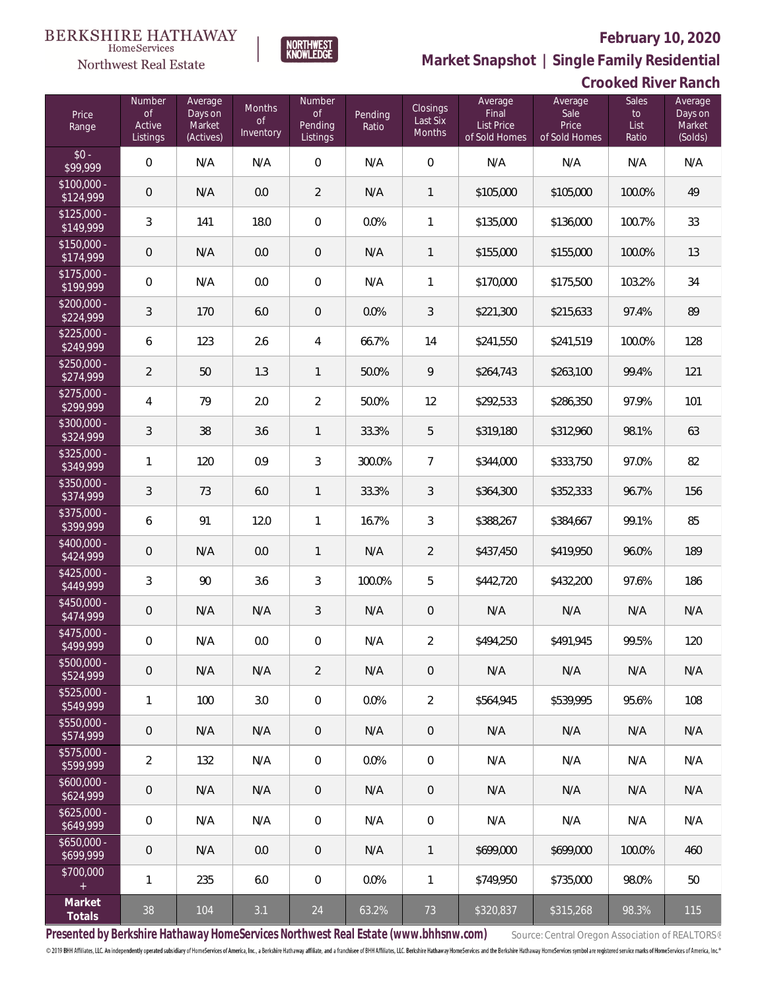

 $\label{lem:sevices} \textsc{Home} \textsc{Service} \textsc{s}$ 

**Market Snapshot | Single Family Residential**

## **Crooked River Ranch**

| Price<br>Range            | Number<br><b>of</b><br>Active<br>Listings | Average<br>Days on<br>Market<br>(Actives) | <b>Months</b><br>0f<br>Inventory | <b>Number</b><br><b>of</b><br>Pending<br>Listings | Pending<br>Ratio | Closings<br>Last Six<br>Months | Average<br>Final<br><b>List Price</b><br>of Sold Homes | Average<br>Sale<br>Price<br>of Sold Homes | <b>Sales</b><br>to<br>List<br>Ratio | Average<br>Days on<br>Market<br>(Solds) |
|---------------------------|-------------------------------------------|-------------------------------------------|----------------------------------|---------------------------------------------------|------------------|--------------------------------|--------------------------------------------------------|-------------------------------------------|-------------------------------------|-----------------------------------------|
| $$0 -$<br>\$99,999        | $\overline{0}$                            | N/A                                       | N/A                              | $\boldsymbol{0}$                                  | N/A              | $\overline{0}$                 | N/A                                                    | N/A                                       | N/A                                 | N/A                                     |
| $$100,000 -$<br>\$124,999 | $\overline{0}$                            | N/A                                       | 0.0                              | $\overline{2}$                                    | N/A              | $\mathbf{1}$                   | \$105,000                                              | \$105,000                                 | 100.0%                              | 49                                      |
| $$125,000 -$<br>\$149,999 | $\mathfrak{Z}$                            | 141                                       | 18.0                             | $\boldsymbol{0}$                                  | 0.0%             | $\mathbf{1}$                   | \$135,000                                              | \$136,000                                 | 100.7%                              | 33                                      |
| $$150,000 -$<br>\$174,999 | $\overline{0}$                            | N/A                                       | 0.0                              | 0                                                 | N/A              | $\mathbf{1}$                   | \$155,000                                              | \$155,000                                 | 100.0%                              | 13                                      |
| \$175,000 -<br>\$199,999  | $\overline{0}$                            | N/A                                       | 0.0                              | $\overline{0}$                                    | N/A              | 1                              | \$170,000                                              | \$175,500                                 | 103.2%                              | 34                                      |
| $$200,000 -$<br>\$224,999 | $\mathfrak{Z}$                            | 170                                       | 6.0                              | $\overline{0}$                                    | 0.0%             | 3                              | \$221,300                                              | \$215,633                                 | 97.4%                               | 89                                      |
| $$225,000 -$<br>\$249,999 | 6                                         | 123                                       | 2.6                              | 4                                                 | 66.7%            | 14                             | \$241,550                                              | \$241,519                                 | 100.0%                              | 128                                     |
| $$250,000 -$<br>\$274,999 | $\overline{2}$                            | 50                                        | 1.3                              | $\mathbf{1}$                                      | 50.0%            | 9                              | \$264,743                                              | \$263,100                                 | 99.4%                               | 121                                     |
| $$275,000 -$<br>\$299,999 | $\overline{4}$                            | 79                                        | 2.0                              | $\overline{2}$                                    | 50.0%            | 12                             | \$292,533                                              | \$286,350                                 | 97.9%                               | 101                                     |
| \$300,000 -<br>\$324,999  | $\mathfrak{Z}$                            | 38                                        | 3.6                              | $\mathbf{1}$                                      | 33.3%            | 5                              | \$319,180                                              | \$312,960                                 | 98.1%                               | 63                                      |
| $$325,000 -$<br>\$349,999 | $\mathbf{1}$                              | 120                                       | 0.9                              | 3                                                 | 300.0%           | $\overline{7}$                 | \$344,000                                              | \$333,750                                 | 97.0%                               | 82                                      |
| $$350,000 -$<br>\$374,999 | $\mathfrak{Z}$                            | 73                                        | 6.0                              | $\mathbf{1}$                                      | 33.3%            | 3                              | \$364,300                                              | \$352,333                                 | 96.7%                               | 156                                     |
| $$375,000 -$<br>\$399,999 | 6                                         | 91                                        | 12.0                             | $\mathbf{1}$                                      | 16.7%            | $\mathfrak{Z}$                 | \$388,267                                              | \$384,667                                 | 99.1%                               | 85                                      |
| \$400,000 -<br>\$424,999  | $\overline{0}$                            | N/A                                       | 0.0                              | $\mathbf{1}$                                      | N/A              | $\overline{2}$                 | \$437,450                                              | \$419,950                                 | 96.0%                               | 189                                     |
| $$425,000 -$<br>\$449,999 | $\mathfrak{Z}$                            | 90                                        | 3.6                              | 3                                                 | 100.0%           | 5                              | \$442,720                                              | \$432,200                                 | 97.6%                               | 186                                     |
| $$450,000 -$<br>\$474,999 | $\mathbf 0$                               | N/A                                       | N/A                              | 3                                                 | N/A              | $\mathbf 0$                    | N/A                                                    | N/A                                       | N/A                                 | N/A                                     |
| \$475,000 -<br>\$499,999  | $\mathbf 0$                               | N/A                                       | 0.0                              | 0                                                 | N/A              | $\overline{2}$                 | \$494,250                                              | \$491,945                                 | 99.5%                               | 120                                     |
| $$500,000 -$<br>\$524,999 | $\mathbf 0$                               | N/A                                       | N/A                              | $\overline{2}$                                    | N/A              | 0                              | N/A                                                    | N/A                                       | N/A                                 | N/A                                     |
| $$525,000 -$<br>\$549,999 | 1                                         | 100                                       | 3.0                              | 0                                                 | 0.0%             | $\overline{2}$                 | \$564,945                                              | \$539,995                                 | 95.6%                               | 108                                     |
| $$550,000 -$<br>\$574,999 | $\mathbf 0$                               | N/A                                       | N/A                              | 0                                                 | N/A              | $\mathsf{O}\xspace$            | N/A                                                    | N/A                                       | N/A                                 | N/A                                     |
| $$575,000 -$<br>\$599,999 | $\sqrt{2}$                                | 132                                       | N/A                              | $\boldsymbol{0}$                                  | 0.0%             | $\mathbf 0$                    | N/A                                                    | N/A                                       | N/A                                 | N/A                                     |
| $$600,000 -$<br>\$624,999 | $\mathsf{O}\xspace$                       | N/A                                       | N/A                              | 0                                                 | N/A              | $\mathsf{O}\xspace$            | N/A                                                    | N/A                                       | N/A                                 | N/A                                     |
| $$625,000 -$<br>\$649,999 | $\mathbf 0$                               | N/A                                       | N/A                              | 0                                                 | N/A              | $\mathbf 0$                    | N/A                                                    | N/A                                       | N/A                                 | N/A                                     |
| $$650,000 -$<br>\$699,999 | $\mathbf 0$                               | N/A                                       | 0.0                              | 0                                                 | N/A              | $\mathbf{1}$                   | \$699,000                                              | \$699,000                                 | 100.0%                              | 460                                     |
| \$700,000<br>$\pm$        | 1                                         | 235                                       | 6.0                              | 0                                                 | 0.0%             | $\mathbf{1}$                   | \$749,950                                              | \$735,000                                 | 98.0%                               | 50                                      |
| Market<br>Totals          | 38                                        | 104                                       | 3.1                              | 24                                                | 63.2%            | 73                             | \$320,837                                              | \$315,268                                 | 98.3%                               | 115                                     |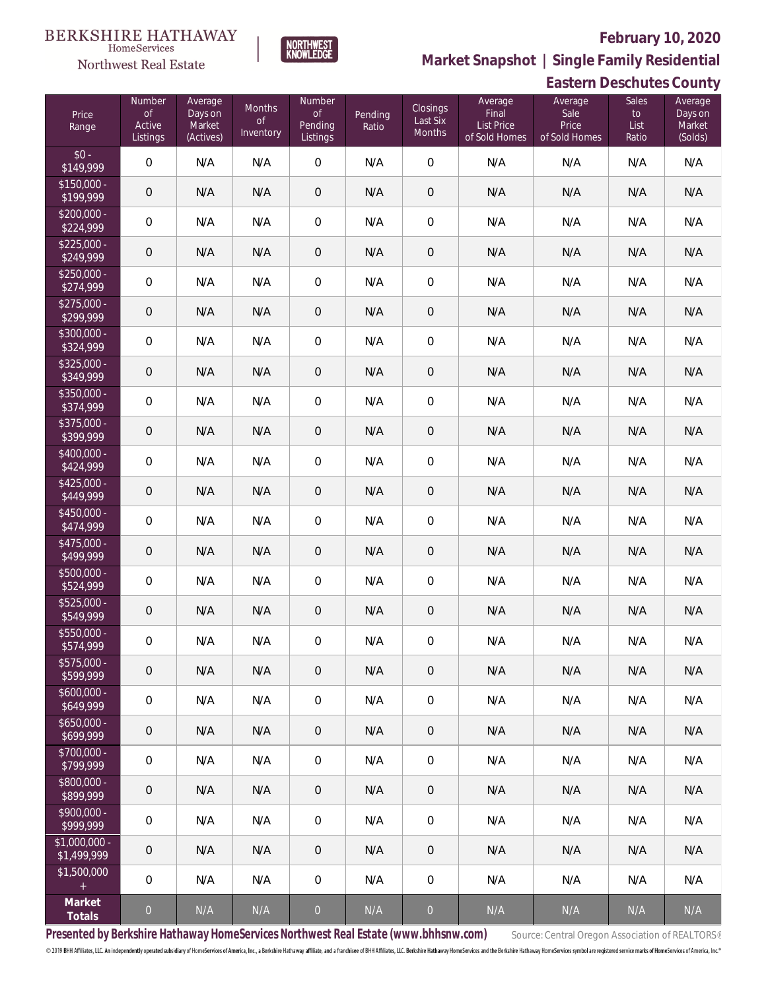### **BERKSHIRE HATHAWAY**

#### $\label{lem:sevices} \textsc{Home} \textsc{Service} \textsc{s}$ Northwest Real Estate



### **February 10, 2020 Market Snapshot | Single Family Residential**

### **Eastern Deschutes County**

| Price<br>Range                | Number<br>$\circ$ f<br>Active<br>Listings | Average<br>Days on<br>Market<br>(Actives) | <b>Months</b><br><b>of</b><br>Inventory | Number<br>$\mathsf{of}$<br>Pending<br>Listings | Pending<br>Ratio        | Closings<br>Last Six<br>Months | Average<br>Final<br><b>List Price</b><br>of Sold Homes | Average<br>Sale<br>Price<br>of Sold Homes | Sales<br>$\mathsf{to}$<br>List<br>Ratio | Average<br>Days on<br>Market<br>(Solds) |
|-------------------------------|-------------------------------------------|-------------------------------------------|-----------------------------------------|------------------------------------------------|-------------------------|--------------------------------|--------------------------------------------------------|-------------------------------------------|-----------------------------------------|-----------------------------------------|
| $$0 -$<br>\$149,999           | $\overline{0}$                            | N/A                                       | N/A                                     | $\mathbf 0$                                    | N/A                     | $\overline{0}$                 | N/A                                                    | N/A                                       | N/A                                     | N/A                                     |
| $$150,000 -$<br>\$199,999     | $\boldsymbol{0}$                          | N/A                                       | N/A                                     | $\mathbf 0$                                    | N/A                     | $\mathbf 0$                    | N/A                                                    | N/A                                       | N/A                                     | N/A                                     |
| $$200,000 -$<br>\$224,999     | $\boldsymbol{0}$                          | N/A                                       | N/A                                     | $\mathbf 0$                                    | N/A                     | $\mathbf 0$                    | N/A                                                    | N/A                                       | N/A                                     | N/A                                     |
| $$225,000 -$<br>\$249,999     | $\boldsymbol{0}$                          | N/A                                       | N/A                                     | $\boldsymbol{0}$                               | N/A                     | $\mathbf 0$                    | N/A                                                    | N/A                                       | N/A                                     | N/A                                     |
| \$250,000 -<br>\$274,999      | $\boldsymbol{0}$                          | N/A                                       | N/A                                     | $\mathbf 0$                                    | N/A                     | $\mathbf 0$                    | N/A                                                    | N/A                                       | N/A                                     | N/A                                     |
| $$275,000 -$<br>\$299,999     | $\boldsymbol{0}$                          | N/A                                       | N/A                                     | $\mathbf 0$                                    | N/A                     | $\mathbf 0$                    | N/A                                                    | N/A                                       | N/A                                     | N/A                                     |
| \$300,000 -<br>\$324,999      | $\boldsymbol{0}$                          | N/A                                       | N/A                                     | $\mathbf 0$                                    | N/A                     | $\mathbf 0$                    | N/A                                                    | N/A                                       | N/A                                     | N/A                                     |
| \$325,000 -<br>\$349,999      | $\boldsymbol{0}$                          | N/A                                       | N/A                                     | $\mathbf 0$                                    | N/A                     | $\mathbf 0$                    | N/A                                                    | N/A                                       | N/A                                     | N/A                                     |
| \$350,000 -<br>\$374,999      | $\boldsymbol{0}$                          | N/A                                       | N/A                                     | $\mathbf 0$                                    | N/A                     | $\mathbf 0$                    | N/A                                                    | N/A                                       | N/A                                     | N/A                                     |
| \$375,000 -<br>\$399,999      | $\boldsymbol{0}$                          | N/A                                       | N/A                                     | $\mathbf 0$                                    | N/A                     | $\mathbf 0$                    | N/A                                                    | N/A                                       | N/A                                     | N/A                                     |
| \$400,000 -<br>\$424,999      | $\mathbf 0$                               | N/A                                       | N/A                                     | $\mathbf 0$                                    | N/A                     | $\mathbf 0$                    | N/A                                                    | N/A                                       | N/A                                     | N/A                                     |
| $$425,000 -$<br>\$449,999     | $\boldsymbol{0}$                          | N/A                                       | N/A                                     | $\overline{0}$                                 | N/A                     | $\mathbf 0$                    | N/A                                                    | N/A                                       | N/A                                     | N/A                                     |
| \$450,000 -<br>\$474,999      | $\boldsymbol{0}$                          | N/A                                       | N/A                                     | $\mathbf 0$                                    | N/A                     | $\mathbf 0$                    | N/A                                                    | N/A                                       | N/A                                     | N/A                                     |
| \$475,000 -<br>\$499,999      | $\boldsymbol{0}$                          | N/A                                       | N/A                                     | $\overline{0}$                                 | N/A                     | $\mathbf 0$                    | N/A                                                    | N/A                                       | N/A                                     | N/A                                     |
| \$500,000 -<br>\$524,999      | $\boldsymbol{0}$                          | N/A                                       | N/A                                     | $\mathbf 0$                                    | N/A                     | $\mathbf 0$                    | N/A                                                    | N/A                                       | N/A                                     | N/A                                     |
| \$525,000 -<br>\$549,999      | $\theta$                                  | N/A                                       | N/A                                     | $\mathbf 0$                                    | N/A                     | $\mathbf 0$                    | N/A                                                    | N/A                                       | N/A                                     | N/A                                     |
| \$550,000 -<br>\$574,999      | $\mathbf 0$                               | N/A                                       | N/A                                     | $\mathbf 0$                                    | N/A                     | $\mathbf 0$                    | N/A                                                    | N/A                                       | N/A                                     | N/A                                     |
| \$575,000 -<br>\$599,999      | 0                                         | N/A                                       | N/A                                     | $\overline{0}$                                 | N/A                     | 0                              | N/A                                                    | N/A                                       | N/A                                     | N/A                                     |
| $$600,000 -$<br>\$649,999     | 0                                         | N/A                                       | N/A                                     | $\,0\,$                                        | N/A                     | $\mathbf 0$                    | N/A                                                    | N/A                                       | N/A                                     | N/A                                     |
| $$650,000 -$<br>\$699,999     | $\mathbf 0$                               | N/A                                       | N/A                                     | $\mathbf 0$                                    | N/A                     | $\mathsf{O}\xspace$            | N/A                                                    | N/A                                       | N/A                                     | N/A                                     |
| \$700,000 -<br>\$799,999      | $\boldsymbol{0}$                          | N/A                                       | N/A                                     | $\,0\,$                                        | N/A                     | $\mathbf 0$                    | N/A                                                    | N/A                                       | N/A                                     | N/A                                     |
| \$800,000 -<br>\$899,999      | $\mathbf 0$                               | N/A                                       | N/A                                     | $\mathbf 0$                                    | N/A                     | $\mathsf{O}\xspace$            | N/A                                                    | N/A                                       | N/A                                     | N/A                                     |
| \$900,000 -<br>\$999,999      | $\boldsymbol{0}$                          | N/A                                       | N/A                                     | $\,0\,$                                        | N/A                     | $\mathbf 0$                    | N/A                                                    | N/A                                       | N/A                                     | N/A                                     |
| $$1,000,000 -$<br>\$1,499,999 | $\mathbf 0$                               | N/A                                       | N/A                                     | $\mathbf 0$                                    | N/A                     | $\mathbf 0$                    | N/A                                                    | N/A                                       | N/A                                     | N/A                                     |
| \$1,500,000<br>$\pm$          | $\boldsymbol{0}$                          | N/A                                       | N/A                                     | $\,0\,$                                        | N/A                     | $\mathbf 0$                    | N/A                                                    | N/A                                       | N/A                                     | N/A                                     |
| Market<br>Totals              | $\theta$                                  | N/A                                       | N/A                                     | $\overline{0}$                                 | $\mathsf{N}/\mathsf{A}$ | $\theta$                       | N/A                                                    | N/A                                       | N/A                                     | N/A                                     |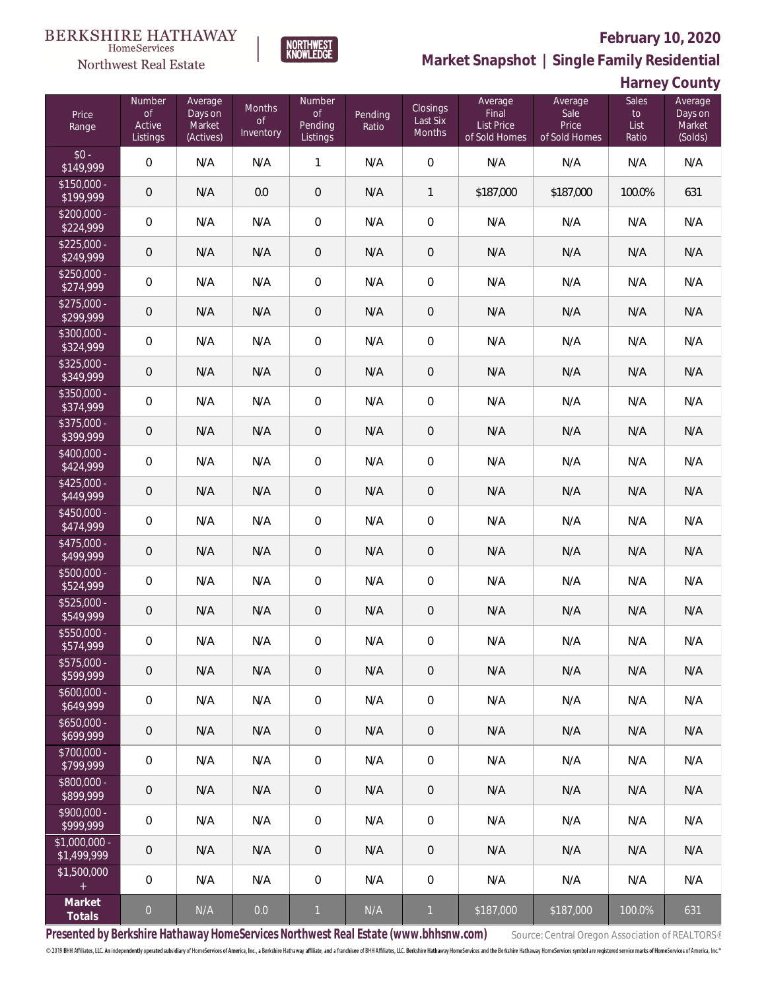#### **BERKSHIRE HATHAWAY**  $\label{lem:sevices} \textsc{Home} \textsc{Service} \textsc{s}$



#### **February 10, 2020**

**Market Snapshot | Single Family Residential**

| Harney County |  |
|---------------|--|
|---------------|--|

| Price<br>Range                | Number<br>of<br>Active<br>Listings | Average<br>Days on<br>Market<br>(Actives) | Months<br><b>of</b><br>Inventory | Number<br>$\mathsf{of}$<br>Pending<br>Listings | Pending<br>Ratio | Closings<br>Last Six<br>Months | Average<br>Final<br>List Price<br>of Sold Homes | Average<br>Sale<br>Price<br>of Sold Homes | <b>Sales</b><br>$\mathsf{to}$<br>List<br>Ratio | Average<br>Days on<br>Market<br>(Solds) |
|-------------------------------|------------------------------------|-------------------------------------------|----------------------------------|------------------------------------------------|------------------|--------------------------------|-------------------------------------------------|-------------------------------------------|------------------------------------------------|-----------------------------------------|
| $$0 -$<br>\$149,999           | $\overline{0}$                     | N/A                                       | N/A                              | 1                                              | N/A              | $\mathbf 0$                    | N/A                                             | N/A                                       | N/A                                            | N/A                                     |
| $$150,000 -$<br>\$199,999     | $\mathbf 0$                        | N/A                                       | 0.0                              | $\mathbf 0$                                    | N/A              | 1                              | \$187,000                                       | \$187,000                                 | 100.0%                                         | 631                                     |
| $$200,000 -$<br>\$224,999     | $\overline{0}$                     | N/A                                       | N/A                              | $\mathbf 0$                                    | N/A              | $\mathbf 0$                    | N/A                                             | N/A                                       | N/A                                            | N/A                                     |
| $$225,000 -$<br>\$249,999     | $\mathbf 0$                        | N/A                                       | N/A                              | $\mathbf 0$                                    | N/A              | $\mathbf 0$                    | N/A                                             | N/A                                       | N/A                                            | N/A                                     |
| $$250,000 -$<br>\$274,999     | $\mathbf 0$                        | N/A                                       | N/A                              | $\mathbf 0$                                    | N/A              | $\mathbf 0$                    | N/A                                             | N/A                                       | N/A                                            | N/A                                     |
| $$275,000 -$<br>\$299,999     | $\mathbf 0$                        | N/A                                       | N/A                              | $\mathbf 0$                                    | N/A              | $\mathbf 0$                    | N/A                                             | N/A                                       | N/A                                            | N/A                                     |
| $$300,000 -$<br>\$324,999     | $\overline{0}$                     | N/A                                       | N/A                              | $\mathbf 0$                                    | N/A              | $\overline{0}$                 | N/A                                             | N/A                                       | N/A                                            | N/A                                     |
| $$325,000 -$<br>\$349,999     | $\mathbf 0$                        | N/A                                       | N/A                              | $\mathbf 0$                                    | N/A              | $\mathbf 0$                    | N/A                                             | N/A                                       | N/A                                            | N/A                                     |
| \$350,000 -<br>\$374,999      | $\mathbf 0$                        | N/A                                       | N/A                              | $\mathbf 0$                                    | N/A              | $\mathbf 0$                    | N/A                                             | N/A                                       | N/A                                            | N/A                                     |
| $$375,000 -$<br>\$399,999     | $\mathbf 0$                        | N/A                                       | N/A                              | 0                                              | N/A              | $\mathbf 0$                    | N/A                                             | N/A                                       | N/A                                            | N/A                                     |
| $$400,000 -$<br>\$424,999     | $\mathbf 0$                        | N/A                                       | N/A                              | $\mathbf 0$                                    | N/A              | $\mathbf 0$                    | N/A                                             | N/A                                       | N/A                                            | N/A                                     |
| $$425,000 -$<br>\$449,999     | $\mathbf 0$                        | N/A                                       | N/A                              | $\mathsf{O}\xspace$                            | N/A              | $\mathbf 0$                    | N/A                                             | N/A                                       | N/A                                            | N/A                                     |
| $$450,000 -$<br>\$474,999     | $\mathbf 0$                        | N/A                                       | N/A                              | $\mathbf 0$                                    | N/A              | $\mathbf 0$                    | N/A                                             | N/A                                       | N/A                                            | N/A                                     |
| $$475,000 -$<br>\$499,999     | $\mathbf 0$                        | N/A                                       | N/A                              | $\mathsf{O}\xspace$                            | N/A              | $\mathbf 0$                    | N/A                                             | N/A                                       | N/A                                            | N/A                                     |
| $$500,000 -$<br>\$524,999     | $\mathbf 0$                        | N/A                                       | N/A                              | $\mathbf 0$                                    | N/A              | $\mathbf 0$                    | N/A                                             | N/A                                       | N/A                                            | N/A                                     |
| $$525,000 -$<br>\$549,999     | $\mathbf 0$                        | N/A                                       | N/A                              | 0                                              | N/A              | $\mathbf 0$                    | N/A                                             | N/A                                       | N/A                                            | N/A                                     |
| \$550,000 -<br>\$574,999      | $\mathbf 0$                        | N/A                                       | N/A                              | $\mathbf 0$                                    | N/A              | $\mathbf 0$                    | N/A                                             | N/A                                       | N/A                                            | N/A                                     |
| \$575,000 -<br>\$599,999      | $\theta$                           | N/A                                       | N/A                              | 0                                              | N/A              | $\theta$                       | N/A                                             | N/A                                       | N/A                                            | N/A                                     |
| $$600,000 -$<br>\$649,999     | $\overline{0}$                     | N/A                                       | N/A                              | 0                                              | N/A              | $\mathbf 0$                    | N/A                                             | N/A                                       | N/A                                            | N/A                                     |
| $$650,000 -$<br>\$699,999     | $\overline{0}$                     | N/A                                       | N/A                              | 0                                              | N/A              | $\theta$                       | N/A                                             | N/A                                       | N/A                                            | N/A                                     |
| \$700,000 -<br>\$799,999      | $\mathbf 0$                        | N/A                                       | N/A                              | 0                                              | N/A              | $\mathbf 0$                    | N/A                                             | N/A                                       | N/A                                            | N/A                                     |
| \$800,000 -<br>\$899,999      | $\overline{0}$                     | N/A                                       | N/A                              | 0                                              | N/A              | $\overline{0}$                 | N/A                                             | N/A                                       | N/A                                            | N/A                                     |
| $$900,000 -$<br>\$999,999     | $\overline{0}$                     | N/A                                       | N/A                              | 0                                              | N/A              | $\mathbf 0$                    | N/A                                             | N/A                                       | N/A                                            | N/A                                     |
| $$1,000,000 -$<br>\$1,499,999 | $\overline{0}$                     | N/A                                       | N/A                              | 0                                              | N/A              | $\mathbf 0$                    | N/A                                             | N/A                                       | N/A                                            | N/A                                     |
| \$1,500,000<br>$\pm$          | $\mathbf 0$                        | N/A                                       | N/A                              | 0                                              | N/A              | $\mathbf 0$                    | N/A                                             | N/A                                       | N/A                                            | N/A                                     |
| Market<br>Totals              | $\theta$                           | N/A                                       | 0.0                              | $\mathbf{1}$                                   | N/A              | $\mathbf{1}$                   | \$187,000                                       | \$187,000                                 | 100.0%                                         | 631                                     |

**NORTHWEST**<br>KNOWLEDGE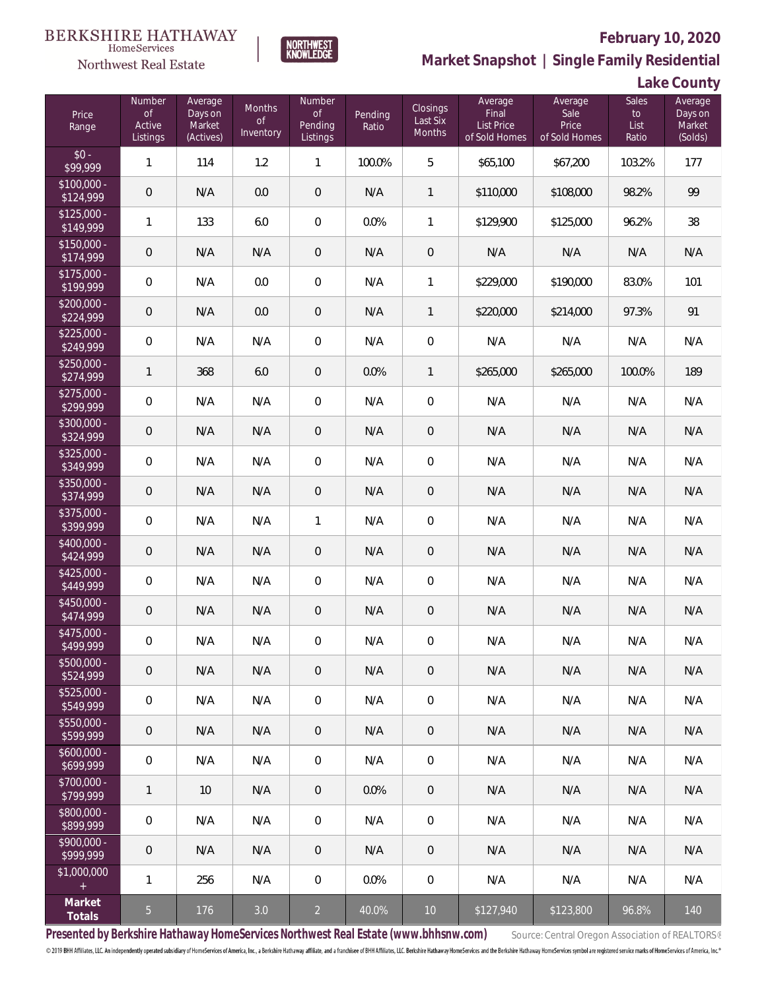

### **February 10, 2020**



**NORTHWEST**<br>KNOWLEDGE

**Lake County**

| Price<br>Range            | Number<br><b>of</b><br>Active<br>Listings | Average<br>Days on<br>Market<br>(Actives) | <b>Months</b><br><b>of</b><br>Inventory | Number<br>$\mathsf{of}$<br>Pending<br>Listings | Pending<br>Ratio | Closings<br>Last Six<br>Months | Average<br>Final<br>List Price<br>of Sold Homes | Average<br>Sale<br>Price<br>of Sold Homes | Sales<br>$\mathsf{to}$<br>List<br>Ratio | Average<br>Days on<br>Market<br>(Solds) |
|---------------------------|-------------------------------------------|-------------------------------------------|-----------------------------------------|------------------------------------------------|------------------|--------------------------------|-------------------------------------------------|-------------------------------------------|-----------------------------------------|-----------------------------------------|
| $$0 -$<br>\$99.999        | $\mathbf{1}$                              | 114                                       | 1.2                                     | 1                                              | 100.0%           | 5                              | \$65,100                                        | \$67,200                                  | 103.2%                                  | 177                                     |
| $$100,000 -$<br>\$124,999 | $\overline{0}$                            | N/A                                       | 0.0                                     | $\overline{0}$                                 | N/A              | 1                              | \$110,000                                       | \$108,000                                 | 98.2%                                   | 99                                      |
| $$125,000 -$<br>\$149,999 | $\mathbf{1}$                              | 133                                       | 6.0                                     | $\boldsymbol{0}$                               | 0.0%             | 1                              | \$129,900                                       | \$125,000                                 | 96.2%                                   | 38                                      |
| $$150,000 -$<br>\$174,999 | $\overline{0}$                            | N/A                                       | N/A                                     | $\mathbf 0$                                    | N/A              | $\mathbf 0$                    | N/A                                             | N/A                                       | N/A                                     | N/A                                     |
| $$175,000 -$<br>\$199,999 | $\overline{0}$                            | N/A                                       | 0.0                                     | $\boldsymbol{0}$                               | N/A              | 1                              | \$229,000                                       | \$190,000                                 | 83.0%                                   | 101                                     |
| $$200,000 -$<br>\$224,999 | $\mathbf 0$                               | N/A                                       | 0.0                                     | $\theta$                                       | N/A              | 1                              | \$220,000                                       | \$214,000                                 | 97.3%                                   | 91                                      |
| $$225,000 -$<br>\$249,999 | $\mathbf 0$                               | N/A                                       | N/A                                     | $\boldsymbol{0}$                               | N/A              | $\mathbf 0$                    | N/A                                             | N/A                                       | N/A                                     | N/A                                     |
| $$250,000 -$<br>\$274,999 | $\mathbf{1}$                              | 368                                       | 6.0                                     | $\overline{0}$                                 | 0.0%             | 1                              | \$265,000                                       | \$265,000                                 | 100.0%                                  | 189                                     |
| $$275,000 -$<br>\$299,999 | $\mathbf 0$                               | N/A                                       | N/A                                     | $\boldsymbol{0}$                               | N/A              | $\mathbf 0$                    | N/A                                             | N/A                                       | N/A                                     | N/A                                     |
| $$300,000 -$<br>\$324,999 | $\mathbf 0$                               | N/A                                       | N/A                                     | $\theta$                                       | N/A              | $\mathbf 0$                    | N/A                                             | N/A                                       | N/A                                     | N/A                                     |
| $$325,000 -$<br>\$349,999 | $\mathbf 0$                               | N/A                                       | N/A                                     | $\boldsymbol{0}$                               | N/A              | $\overline{0}$                 | N/A                                             | N/A                                       | N/A                                     | N/A                                     |
| \$350,000 -<br>\$374,999  | $\mathbf 0$                               | N/A                                       | N/A                                     | $\theta$                                       | N/A              | $\overline{0}$                 | N/A                                             | N/A                                       | N/A                                     | N/A                                     |
| $$375,000 -$<br>\$399,999 | $\mathbf 0$                               | N/A                                       | N/A                                     | 1                                              | N/A              | $\overline{0}$                 | N/A                                             | N/A                                       | N/A                                     | N/A                                     |
| $$400,000 -$<br>\$424,999 | $\mathbf 0$                               | N/A                                       | N/A                                     | $\theta$                                       | N/A              | $\overline{0}$                 | N/A                                             | N/A                                       | N/A                                     | N/A                                     |
| $$425,000 -$<br>\$449,999 | $\mathbf 0$                               | N/A                                       | N/A                                     | 0                                              | N/A              | $\mathbf 0$                    | N/A                                             | N/A                                       | N/A                                     | N/A                                     |
| \$450,000 -<br>\$474,999  | $\mathbf 0$                               | N/A                                       | N/A                                     | $\theta$                                       | N/A              | $\overline{0}$                 | N/A                                             | N/A                                       | N/A                                     | N/A                                     |
| \$475,000 -<br>\$499,999  | $\mathbf 0$                               | N/A                                       | N/A                                     | $\mathbf 0$                                    | N/A              | $\mathbf 0$                    | N/A                                             | N/A                                       | N/A                                     | N/A                                     |
| \$500,000 -<br>\$524,999  | $\theta$                                  | N/A                                       | N/A                                     | $\overline{0}$                                 | N/A              | $\mathbf 0$                    | N/A                                             | N/A                                       | N/A                                     | N/A                                     |
| $$525,000 -$<br>\$549,999 | $\mathbf 0$                               | N/A                                       | N/A                                     | 0                                              | N/A              | $\overline{0}$                 | N/A                                             | N/A                                       | N/A                                     | N/A                                     |
| $$550,000 -$<br>\$599,999 | $\mathbf 0$                               | N/A                                       | N/A                                     | $\overline{0}$                                 | N/A              | $\overline{0}$                 | N/A                                             | N/A                                       | N/A                                     | N/A                                     |
| $$600,000 -$<br>\$699,999 | $\mathbf 0$                               | N/A                                       | N/A                                     | 0                                              | N/A              | $\mathbf 0$                    | N/A                                             | N/A                                       | N/A                                     | N/A                                     |
| $$700,000 -$<br>\$799,999 | $\mathbf{1}$                              | 10                                        | N/A                                     | $\overline{0}$                                 | 0.0%             | $\mathbf 0$                    | N/A                                             | N/A                                       | N/A                                     | N/A                                     |
| $$800,000 -$<br>\$899,999 | $\mathbf 0$                               | N/A                                       | N/A                                     | 0                                              | N/A              | $\mathbf 0$                    | N/A                                             | N/A                                       | N/A                                     | N/A                                     |
| $$900,000 -$<br>\$999,999 | $\mathbf 0$                               | N/A                                       | N/A                                     | $\theta$                                       | N/A              | $\overline{0}$                 | N/A                                             | N/A                                       | N/A                                     | N/A                                     |
| \$1,000,000<br>$\pm$      | $\mathbf{1}$                              | 256                                       | N/A                                     | 0                                              | 0.0%             | $\mathbf 0$                    | N/A                                             | N/A                                       | N/A                                     | N/A                                     |
| Market<br>Totals          | $\overline{5}$                            | 176                                       | 3.0                                     | $\overline{2}$                                 | 40.0%            | 10                             | \$127,940                                       | \$123,800                                 | 96.8%                                   | 140                                     |